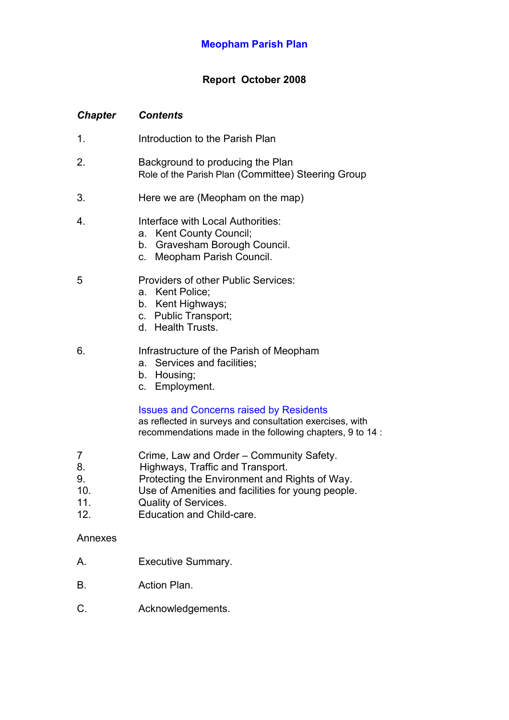# **Report October 2008**

# *Chapter Contents*

- 1. Introduction to the Parish Plan
- 2. Background to producing the Plan Role of the Parish Plan (Committee) Steering Group
- 3. Here we are (Meopham on the map)
- 4. Interface with Local Authorities:
	- a. Kent County Council;
	- b. Gravesham Borough Council.
	- c. Meopham Parish Council.

# 5 Providers of other Public Services:

- a. Kent Police;
- b. Kent Highways;
- c. Public Transport;
- d. Health Trusts.
- 6. Infrastructure of the Parish of Meopham
	- a. Services and facilities;
	- b. Housing;
	- c. Employment.

# Issues and Concerns raised by Residents

as reflected in surveys and consultation exercises, with recommendations made in the following chapters, 9 to 14 :

- 7 Crime, Law and Order Community Safety.
- 8. Highways, Traffic and Transport.
- 9. Protecting the Environment and Rights of Way.
- 10. Use of Amenities and facilities for young people.
- 11. Quality of Services.
- 12. Education and Child-care.

## Annexes

- A. Executive Summary.
- B. Action Plan.
- C. Acknowledgements.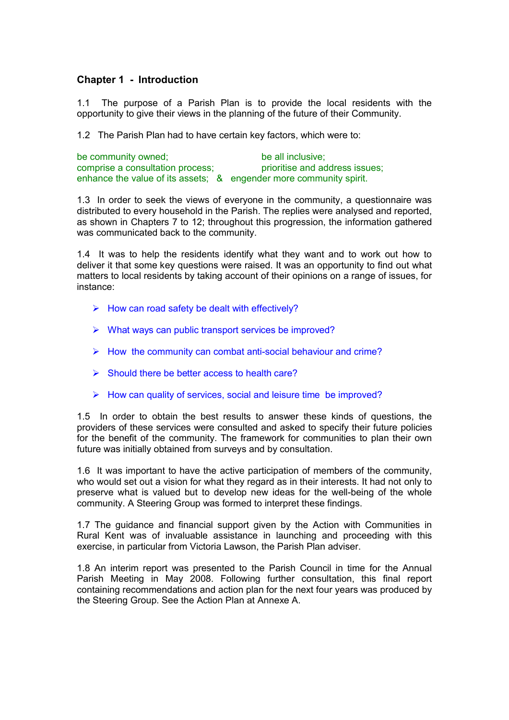## **Chapter 1 - Introduction**

1.1 The purpose of a Parish Plan is to provide the local residents with the opportunity to give their views in the planning of the future of their Community.

1.2 The Parish Plan had to have certain key factors, which were to:

| be community owned;                                                | be all inclusive;              |
|--------------------------------------------------------------------|--------------------------------|
| comprise a consultation process;                                   | prioritise and address issues; |
| enhance the value of its assets; & engender more community spirit. |                                |

1.3 In order to seek the views of everyone in the community, a questionnaire was distributed to every household in the Parish. The replies were analysed and reported, as shown in Chapters 7 to 12; throughout this progression, the information gathered was communicated back to the community.

1.4 It was to help the residents identify what they want and to work out how to deliver it that some key questions were raised. It was an opportunity to find out what matters to local residents by taking account of their opinions on a range of issues, for instance:

- $\triangleright$  How can road safety be dealt with effectively?
- $\triangleright$  What ways can public transport services be improved?
- $\triangleright$  How the community can combat anti-social behaviour and crime?
- $\triangleright$  Should there be better access to health care?
- $\triangleright$  How can quality of services, social and leisure time be improved?

1.5 In order to obtain the best results to answer these kinds of questions, the providers of these services were consulted and asked to specify their future policies for the benefit of the community. The framework for communities to plan their own future was initially obtained from surveys and by consultation.

1.6 It was important to have the active participation of members of the community, who would set out a vision for what they regard as in their interests. It had not only to preserve what is valued but to develop new ideas for the well-being of the whole community. A Steering Group was formed to interpret these findings.

1.7 The guidance and financial support given by the Action with Communities in Rural Kent was of invaluable assistance in launching and proceeding with this exercise, in particular from Victoria Lawson, the Parish Plan adviser.

1.8 An interim report was presented to the Parish Council in time for the Annual Parish Meeting in May 2008. Following further consultation, this final report containing recommendations and action plan for the next four years was produced by the Steering Group. See the Action Plan at Annexe A.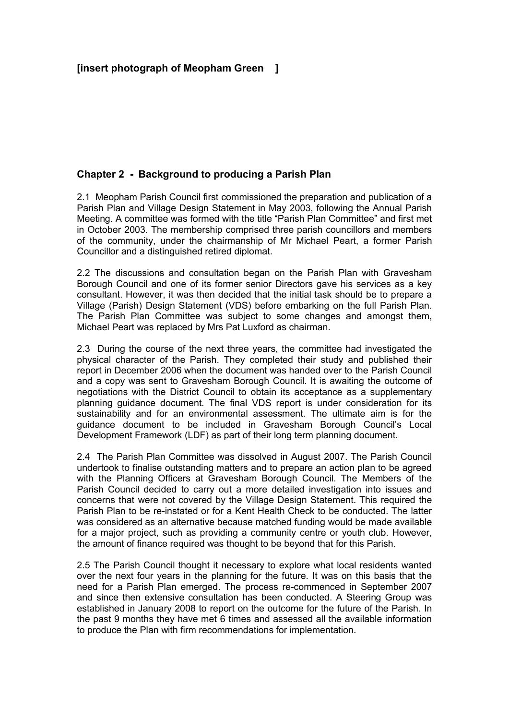## **Chapter 2 - Background to producing a Parish Plan**

2.1 Meopham Parish Council first commissioned the preparation and publication of a Parish Plan and Village Design Statement in May 2003, following the Annual Parish Meeting. A committee was formed with the title "Parish Plan Committee" and first met in October 2003. The membership comprised three parish councillors and members of the community, under the chairmanship of Mr Michael Peart, a former Parish Councillor and a distinguished retired diplomat.

2.2 The discussions and consultation began on the Parish Plan with Gravesham Borough Council and one of its former senior Directors gave his services as a key consultant. However, it was then decided that the initial task should be to prepare a Village (Parish) Design Statement (VDS) before embarking on the full Parish Plan. The Parish Plan Committee was subject to some changes and amongst them, Michael Peart was replaced by Mrs Pat Luxford as chairman.

2.3 During the course of the next three years, the committee had investigated the physical character of the Parish. They completed their study and published their report in December 2006 when the document was handed over to the Parish Council and a copy was sent to Gravesham Borough Council. It is awaiting the outcome of negotiations with the District Council to obtain its acceptance as a supplementary planning guidance document. The final VDS report is under consideration for its sustainability and for an environmental assessment. The ultimate aim is for the guidance document to be included in Gravesham Borough Council's Local Development Framework (LDF) as part of their long term planning document.

2.4 The Parish Plan Committee was dissolved in August 2007. The Parish Council undertook to finalise outstanding matters and to prepare an action plan to be agreed with the Planning Officers at Gravesham Borough Council. The Members of the Parish Council decided to carry out a more detailed investigation into issues and concerns that were not covered by the Village Design Statement. This required the Parish Plan to be re-instated or for a Kent Health Check to be conducted. The latter was considered as an alternative because matched funding would be made available for a major project, such as providing a community centre or youth club. However, the amount of finance required was thought to be beyond that for this Parish.

2.5 The Parish Council thought it necessary to explore what local residents wanted over the next four years in the planning for the future. It was on this basis that the need for a Parish Plan emerged. The process re-commenced in September 2007 and since then extensive consultation has been conducted. A Steering Group was established in January 2008 to report on the outcome for the future of the Parish. In the past 9 months they have met 6 times and assessed all the available information to produce the Plan with firm recommendations for implementation.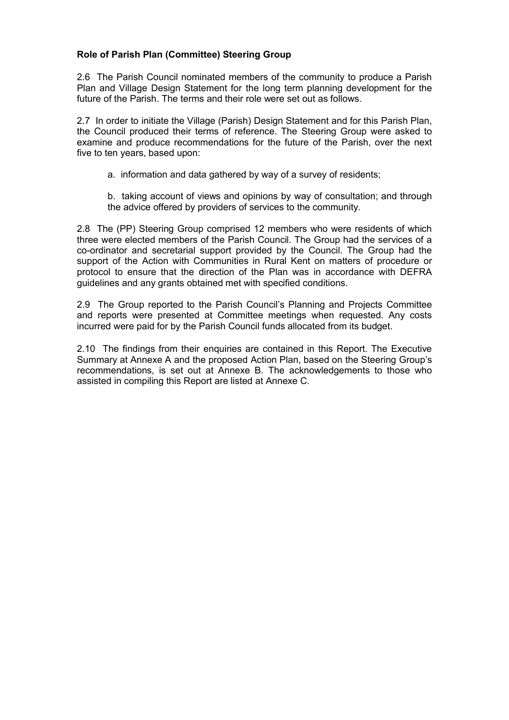## **Role of Parish Plan (Committee) Steering Group**

2.6 The Parish Council nominated members of the community to produce a Parish Plan and Village Design Statement for the long term planning development for the future of the Parish. The terms and their role were set out as follows.

2.7 In order to initiate the Village (Parish) Design Statement and for this Parish Plan, the Council produced their terms of reference. The Steering Group were asked to examine and produce recommendations for the future of the Parish, over the next five to ten years, based upon:

a. information and data gathered by way of a survey of residents;

b. taking account of views and opinions by way of consultation; and through the advice offered by providers of services to the community.

2.8 The (PP) Steering Group comprised 12 members who were residents of which three were elected members of the Parish Council. The Group had the services of a co-ordinator and secretarial support provided by the Council. The Group had the support of the Action with Communities in Rural Kent on matters of procedure or protocol to ensure that the direction of the Plan was in accordance with DEFRA guidelines and any grants obtained met with specified conditions.

2.9 The Group reported to the Parish Council's Planning and Projects Committee and reports were presented at Committee meetings when requested. Any costs incurred were paid for by the Parish Council funds allocated from its budget.

2.10 The findings from their enquiries are contained in this Report. The Executive Summary at Annexe A and the proposed Action Plan, based on the Steering Group's recommendations, is set out at Annexe B. The acknowledgements to those who assisted in compiling this Report are listed at Annexe C.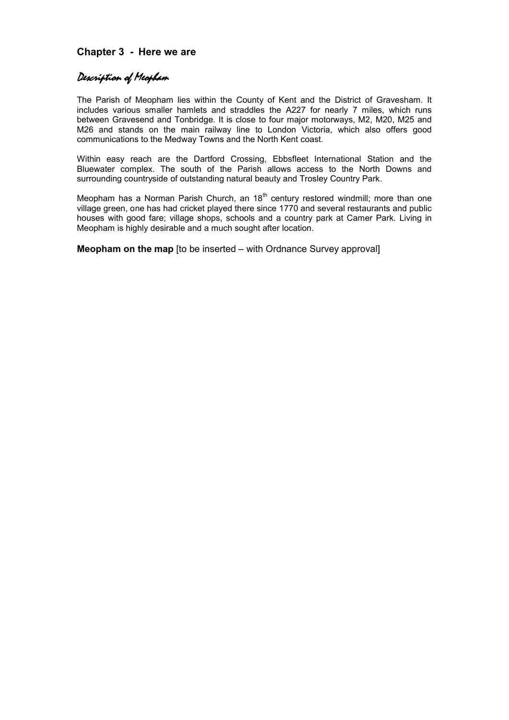## **Chapter 3 - Here we are**

# Description of Meopham

The Parish of Meopham lies within the County of Kent and the District of Gravesham. It includes various smaller hamlets and straddles the A227 for nearly 7 miles, which runs between Gravesend and Tonbridge. It is close to four major motorways, M2, M20, M25 and M26 and stands on the main railway line to London Victoria, which also offers good communications to the Medway Towns and the North Kent coast.

Within easy reach are the Dartford Crossing, Ebbsfleet International Station and the Bluewater complex. The south of the Parish allows access to the North Downs and surrounding countryside of outstanding natural beauty and Trosley Country Park.

Meopham has a Norman Parish Church, an  $18<sup>th</sup>$  century restored windmill; more than one village green, one has had cricket played there since 1770 and several restaurants and public houses with good fare; village shops, schools and a country park at Camer Park. Living in Meopham is highly desirable and a much sought after location.

**Meopham on the map** [to be inserted – with Ordnance Survey approval]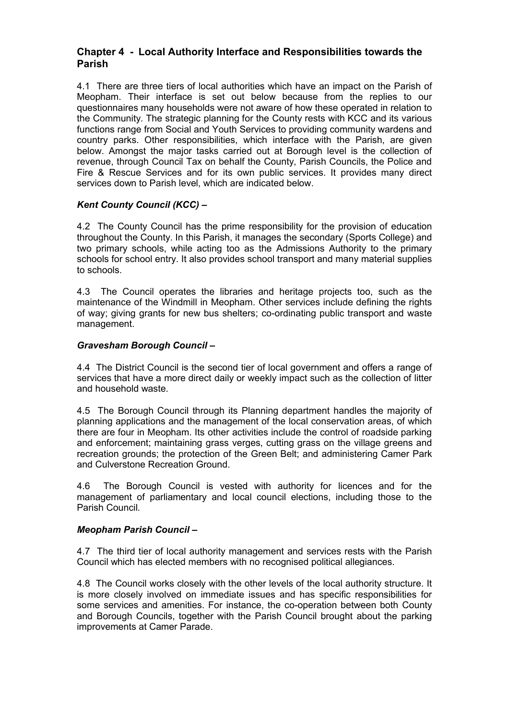## **Chapter 4 - Local Authority Interface and Responsibilities towards the Parish**

4.1 There are three tiers of local authorities which have an impact on the Parish of Meopham. Their interface is set out below because from the replies to our questionnaires many households were not aware of how these operated in relation to the Community. The strategic planning for the County rests with KCC and its various functions range from Social and Youth Services to providing community wardens and country parks. Other responsibilities, which interface with the Parish, are given below. Amongst the major tasks carried out at Borough level is the collection of revenue, through Council Tax on behalf the County, Parish Councils, the Police and Fire & Rescue Services and for its own public services. It provides many direct services down to Parish level, which are indicated below.

## *Kent County Council (KCC) –*

4.2 The County Council has the prime responsibility for the provision of education throughout the County. In this Parish, it manages the secondary (Sports College) and two primary schools, while acting too as the Admissions Authority to the primary schools for school entry. It also provides school transport and many material supplies to schools.

4.3 The Council operates the libraries and heritage projects too, such as the maintenance of the Windmill in Meopham. Other services include defining the rights of way; giving grants for new bus shelters; co-ordinating public transport and waste management.

## *Gravesham Borough Council –*

4.4 The District Council is the second tier of local government and offers a range of services that have a more direct daily or weekly impact such as the collection of litter and household waste.

4.5 The Borough Council through its Planning department handles the majority of planning applications and the management of the local conservation areas, of which there are four in Meopham. Its other activities include the control of roadside parking and enforcement; maintaining grass verges, cutting grass on the village greens and recreation grounds; the protection of the Green Belt; and administering Camer Park and Culverstone Recreation Ground.

4.6 The Borough Council is vested with authority for licences and for the management of parliamentary and local council elections, including those to the Parish Council.

## *Meopham Parish Council –*

4.7 The third tier of local authority management and services rests with the Parish Council which has elected members with no recognised political allegiances.

4.8 The Council works closely with the other levels of the local authority structure. It is more closely involved on immediate issues and has specific responsibilities for some services and amenities. For instance, the co-operation between both County and Borough Councils, together with the Parish Council brought about the parking improvements at Camer Parade.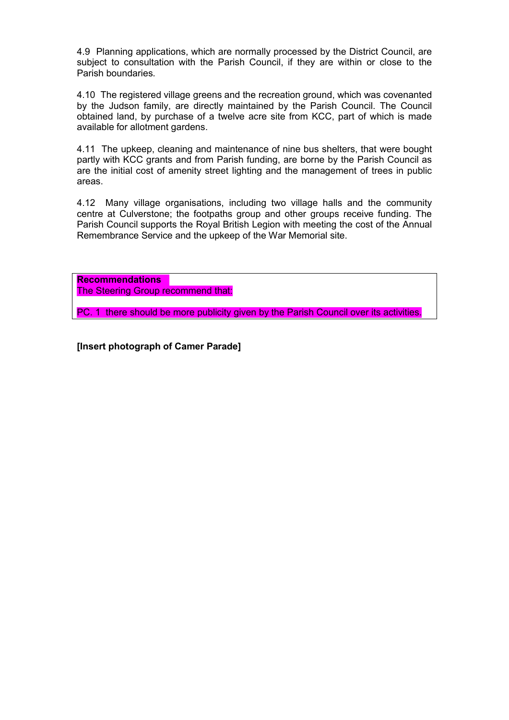4.9 Planning applications, which are normally processed by the District Council, are subject to consultation with the Parish Council, if they are within or close to the Parish boundaries.

4.10 The registered village greens and the recreation ground, which was covenanted by the Judson family, are directly maintained by the Parish Council. The Council obtained land, by purchase of a twelve acre site from KCC, part of which is made available for allotment gardens.

4.11 The upkeep, cleaning and maintenance of nine bus shelters, that were bought partly with KCC grants and from Parish funding, are borne by the Parish Council as are the initial cost of amenity street lighting and the management of trees in public areas.

4.12 Many village organisations, including two village halls and the community centre at Culverstone; the footpaths group and other groups receive funding. The Parish Council supports the Royal British Legion with meeting the cost of the Annual Remembrance Service and the upkeep of the War Memorial site.

**Recommendations** The Steering Group recommend that:

PC. 1 there should be more publicity given by the Parish Council over its activities.

**[Insert photograph of Camer Parade]**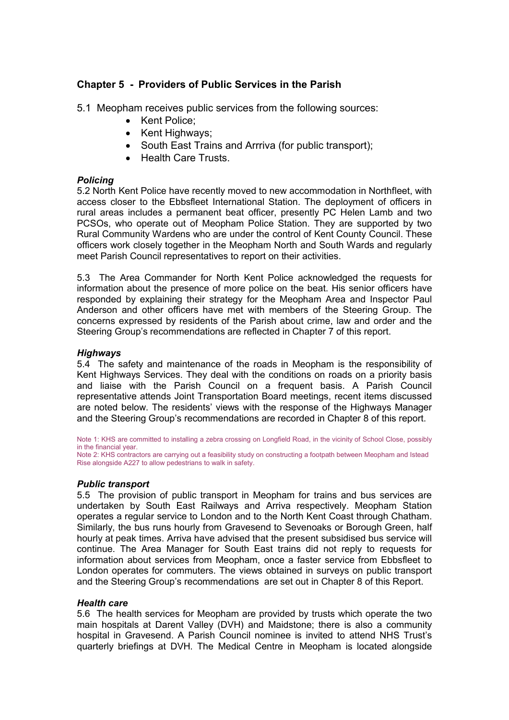# **Chapter 5 - Providers of Public Services in the Parish**

5.1 Meopham receives public services from the following sources:

- Kent Police:
- Kent Highways;
- South East Trains and Arrriva (for public transport);
- Health Care Trusts.

#### *Policing*

5.2 North Kent Police have recently moved to new accommodation in Northfleet, with access closer to the Ebbsfleet International Station. The deployment of officers in rural areas includes a permanent beat officer, presently PC Helen Lamb and two PCSOs, who operate out of Meopham Police Station. They are supported by two Rural Community Wardens who are under the control of Kent County Council. These officers work closely together in the Meopham North and South Wards and regularly meet Parish Council representatives to report on their activities.

5.3 The Area Commander for North Kent Police acknowledged the requests for information about the presence of more police on the beat. His senior officers have responded by explaining their strategy for the Meopham Area and Inspector Paul Anderson and other officers have met with members of the Steering Group. The concerns expressed by residents of the Parish about crime, law and order and the Steering Group's recommendations are reflected in Chapter 7 of this report.

## *Highways*

5.4 The safety and maintenance of the roads in Meopham is the responsibility of Kent Highways Services. They deal with the conditions on roads on a priority basis and liaise with the Parish Council on a frequent basis. A Parish Council representative attends Joint Transportation Board meetings, recent items discussed are noted below. The residents' views with the response of the Highways Manager and the Steering Group's recommendations are recorded in Chapter 8 of this report.

Note 1: KHS are committed to installing a zebra crossing on Longfield Road, in the vicinity of School Close, possibly in the financial year. Note 2: KHS contractors are carrying out a feasibility study on constructing a footpath between Meopham and Istead

Rise alongside A227 to allow pedestrians to walk in safety.

#### *Public transport*

5.5 The provision of public transport in Meopham for trains and bus services are undertaken by South East Railways and Arriva respectively. Meopham Station operates a regular service to London and to the North Kent Coast through Chatham. Similarly, the bus runs hourly from Gravesend to Sevenoaks or Borough Green, half hourly at peak times. Arriva have advised that the present subsidised bus service will continue. The Area Manager for South East trains did not reply to requests for information about services from Meopham, once a faster service from Ebbsfleet to London operates for commuters. The views obtained in surveys on public transport and the Steering Group's recommendations are set out in Chapter 8 of this Report.

#### *Health care*

5.6 The health services for Meopham are provided by trusts which operate the two main hospitals at Darent Valley (DVH) and Maidstone; there is also a community hospital in Gravesend. A Parish Council nominee is invited to attend NHS Trust's quarterly briefings at DVH. The Medical Centre in Meopham is located alongside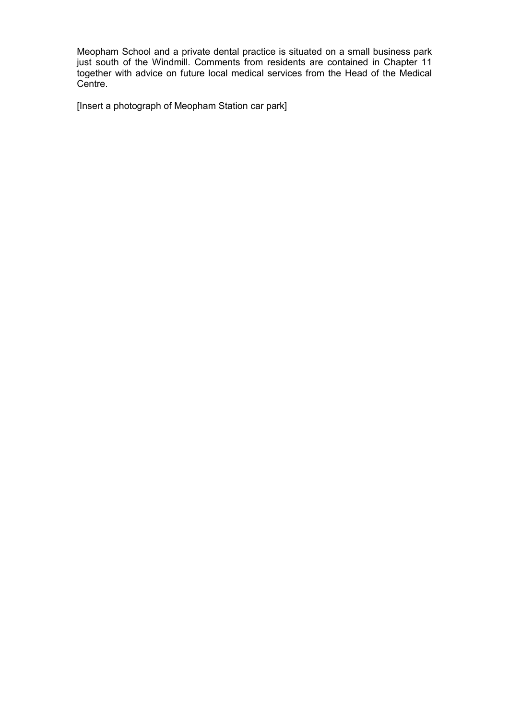Meopham School and a private dental practice is situated on a small business park just south of the Windmill. Comments from residents are contained in Chapter 11 together with advice on future local medical services from the Head of the Medical Centre.

[Insert a photograph of Meopham Station car park]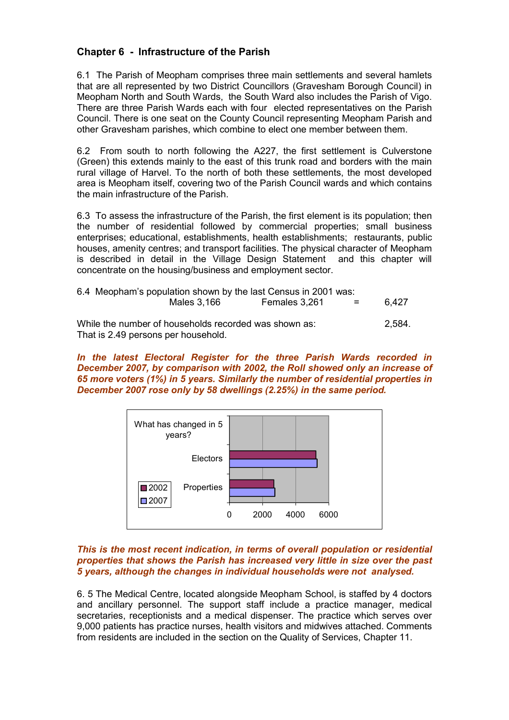# **Chapter 6 - Infrastructure of the Parish**

6.1 The Parish of Meopham comprises three main settlements and several hamlets that are all represented by two District Councillors (Gravesham Borough Council) in Meopham North and South Wards, the South Ward also includes the Parish of Vigo. There are three Parish Wards each with four elected representatives on the Parish Council. There is one seat on the County Council representing Meopham Parish and other Gravesham parishes, which combine to elect one member between them.

6.2 From south to north following the A227, the first settlement is Culverstone (Green) this extends mainly to the east of this trunk road and borders with the main rural village of Harvel. To the north of both these settlements, the most developed area is Meopham itself, covering two of the Parish Council wards and which contains the main infrastructure of the Parish.

6.3 To assess the infrastructure of the Parish, the first element is its population; then the number of residential followed by commercial properties; small business enterprises; educational, establishments, health establishments; restaurants, public houses, amenity centres; and transport facilities. The physical character of Meopham is described in detail in the Village Design Statement and this chapter will concentrate on the housing/business and employment sector.

| 6.4 Meopham's population shown by the last Census in 2001 was: |               |                           |        |
|----------------------------------------------------------------|---------------|---------------------------|--------|
| Males 3,166                                                    | Females 3,261 | $\mathbf{r} = \mathbf{r}$ | 6.427  |
| While the number of households recorded was shown as:          |               |                           | 2.584. |

That is 2.49 persons per household.

*In the latest Electoral Register for the three Parish Wards recorded in December 2007, by comparison with 2002, the Roll showed only an increase of 65 more voters (1%) in 5 years. Similarly the number of residential properties in December 2007 rose only by 58 dwellings (2.25%) in the same period.* 



#### *This is the most recent indication, in terms of overall population or residential properties that shows the Parish has increased very little in size over the past 5 years, although the changes in individual households were not analysed.*

6. 5 The Medical Centre, located alongside Meopham School, is staffed by 4 doctors and ancillary personnel. The support staff include a practice manager, medical secretaries, receptionists and a medical dispenser. The practice which serves over 9,000 patients has practice nurses, health visitors and midwives attached. Comments from residents are included in the section on the Quality of Services, Chapter 11.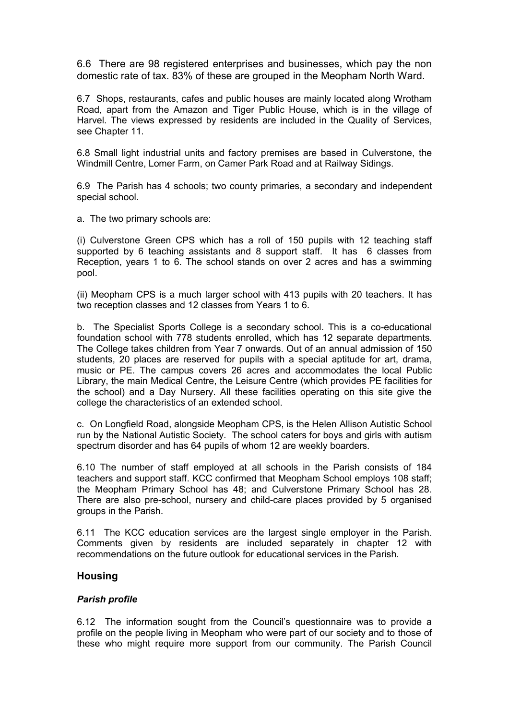6.6 There are 98 registered enterprises and businesses, which pay the non domestic rate of tax. 83% of these are grouped in the Meopham North Ward.

6.7 Shops, restaurants, cafes and public houses are mainly located along Wrotham Road, apart from the Amazon and Tiger Public House, which is in the village of Harvel. The views expressed by residents are included in the Quality of Services, see Chapter 11.

6.8 Small light industrial units and factory premises are based in Culverstone, the Windmill Centre, Lomer Farm, on Camer Park Road and at Railway Sidings.

6.9 The Parish has 4 schools; two county primaries, a secondary and independent special school.

a. The two primary schools are:

(i) Culverstone Green CPS which has a roll of 150 pupils with 12 teaching staff supported by 6 teaching assistants and 8 support staff. It has 6 classes from Reception, years 1 to 6. The school stands on over 2 acres and has a swimming pool.

(ii) Meopham CPS is a much larger school with 413 pupils with 20 teachers. It has two reception classes and 12 classes from Years 1 to 6.

b. The Specialist Sports College is a secondary school. This is a co-educational foundation school with 778 students enrolled, which has 12 separate departments. The College takes children from Year 7 onwards. Out of an annual admission of 150 students, 20 places are reserved for pupils with a special aptitude for art, drama, music or PE. The campus covers 26 acres and accommodates the local Public Library, the main Medical Centre, the Leisure Centre (which provides PE facilities for the school) and a Day Nursery. All these facilities operating on this site give the college the characteristics of an extended school.

c. On Longfield Road, alongside Meopham CPS, is the Helen Allison Autistic School run by the National Autistic Society. The school caters for boys and girls with autism spectrum disorder and has 64 pupils of whom 12 are weekly boarders.

6.10 The number of staff employed at all schools in the Parish consists of 184 teachers and support staff. KCC confirmed that Meopham School employs 108 staff; the Meopham Primary School has 48; and Culverstone Primary School has 28. There are also pre-school, nursery and child-care places provided by 5 organised groups in the Parish.

6.11 The KCC education services are the largest single employer in the Parish. Comments given by residents are included separately in chapter 12 with recommendations on the future outlook for educational services in the Parish.

#### **Housing**

#### *Parish profile*

6.12 The information sought from the Council's questionnaire was to provide a profile on the people living in Meopham who were part of our society and to those of these who might require more support from our community. The Parish Council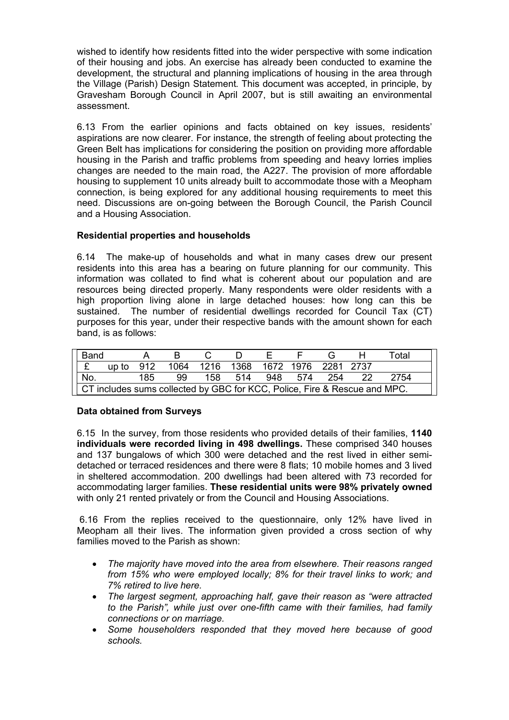wished to identify how residents fitted into the wider perspective with some indication of their housing and jobs. An exercise has already been conducted to examine the development, the structural and planning implications of housing in the area through the Village (Parish) Design Statement. This document was accepted, in principle, by Gravesham Borough Council in April 2007, but is still awaiting an environmental assessment.

6.13 From the earlier opinions and facts obtained on key issues, residents' aspirations are now clearer. For instance, the strength of feeling about protecting the Green Belt has implications for considering the position on providing more affordable housing in the Parish and traffic problems from speeding and heavy lorries implies changes are needed to the main road, the A227. The provision of more affordable housing to supplement 10 units already built to accommodate those with a Meopham connection, is being explored for any additional housing requirements to meet this need. Discussions are on-going between the Borough Council, the Parish Council and a Housing Association.

## **Residential properties and households**

6.14 The make-up of households and what in many cases drew our present residents into this area has a bearing on future planning for our community. This information was collated to find what is coherent about our population and are resources being directed properly. Many respondents were older residents with a high proportion living alone in large detached houses: how long can this be sustained. The number of residential dwellings recorded for Council Tax (CT) purposes for this year, under their respective bands with the amount shown for each band, is as follows:

| Band                                                                      |  |     | B.                                               | <sup>1</sup>           |  |  |  | Total |  |
|---------------------------------------------------------------------------|--|-----|--------------------------------------------------|------------------------|--|--|--|-------|--|
|                                                                           |  |     | $E$ up to 912 1064 1216 1368 1672 1976 2281 2737 |                        |  |  |  |       |  |
| No.                                                                       |  | 185 | 99.                                              | 158 514 948 574 254 22 |  |  |  | 2754  |  |
| CT includes sums collected by GBC for KCC, Police, Fire & Rescue and MPC. |  |     |                                                  |                        |  |  |  |       |  |

## **Data obtained from Surveys**

6.15 In the survey, from those residents who provided details of their families, **1140 individuals were recorded living in 498 dwellings.** These comprised 340 houses and 137 bungalows of which 300 were detached and the rest lived in either semidetached or terraced residences and there were 8 flats; 10 mobile homes and 3 lived in sheltered accommodation. 200 dwellings had been altered with 73 recorded for accommodating larger families. **These residential units were 98% privately owned** with only 21 rented privately or from the Council and Housing Associations.

 6.16 From the replies received to the questionnaire, only 12% have lived in Meopham all their lives. The information given provided a cross section of why families moved to the Parish as shown:

- *The majority have moved into the area from elsewhere. Their reasons ranged from 15% who were employed locally; 8% for their travel links to work; and 7% retired to live here.*
- *The largest segment, approaching half, gave their reason as "were attracted to the Parish", while just over one-fifth came with their families, had family connections or on marriage.*
- *Some householders responded that they moved here because of good schools.*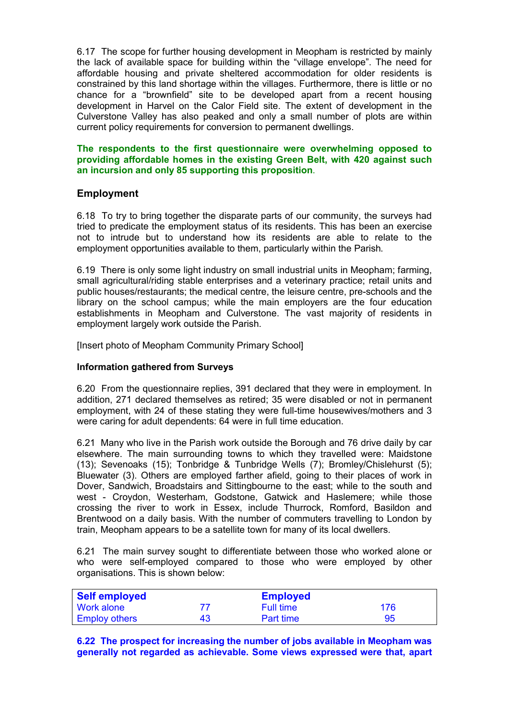6.17 The scope for further housing development in Meopham is restricted by mainly the lack of available space for building within the "village envelope". The need for affordable housing and private sheltered accommodation for older residents is constrained by this land shortage within the villages. Furthermore, there is little or no chance for a "brownfield" site to be developed apart from a recent housing development in Harvel on the Calor Field site. The extent of development in the Culverstone Valley has also peaked and only a small number of plots are within current policy requirements for conversion to permanent dwellings.

#### **The respondents to the first questionnaire were overwhelming opposed to providing affordable homes in the existing Green Belt, with 420 against such an incursion and only 85 supporting this proposition**.

# **Employment**

6.18 To try to bring together the disparate parts of our community, the surveys had tried to predicate the employment status of its residents. This has been an exercise not to intrude but to understand how its residents are able to relate to the employment opportunities available to them, particularly within the Parish.

6.19 There is only some light industry on small industrial units in Meopham; farming, small agricultural/riding stable enterprises and a veterinary practice; retail units and public houses/restaurants; the medical centre, the leisure centre, pre-schools and the library on the school campus; while the main employers are the four education establishments in Meopham and Culverstone. The vast majority of residents in employment largely work outside the Parish.

[Insert photo of Meopham Community Primary School]

## **Information gathered from Surveys**

6.20 From the questionnaire replies, 391 declared that they were in employment. In addition, 271 declared themselves as retired; 35 were disabled or not in permanent employment, with 24 of these stating they were full-time housewives/mothers and 3 were caring for adult dependents: 64 were in full time education.

6.21 Many who live in the Parish work outside the Borough and 76 drive daily by car elsewhere. The main surrounding towns to which they travelled were: Maidstone (13); Sevenoaks (15); Tonbridge & Tunbridge Wells (7); Bromley/Chislehurst (5); Bluewater (3). Others are employed farther afield, going to their places of work in Dover, Sandwich, Broadstairs and Sittingbourne to the east; while to the south and west - Croydon, Westerham, Godstone, Gatwick and Haslemere; while those crossing the river to work in Essex, include Thurrock, Romford, Basildon and Brentwood on a daily basis. With the number of commuters travelling to London by train, Meopham appears to be a satellite town for many of its local dwellers.

6.21 The main survey sought to differentiate between those who worked alone or who were self-employed compared to those who were employed by other organisations. This is shown below:

| <b>Self employed</b> |    | <b>Employed</b>  |     |
|----------------------|----|------------------|-----|
| Work alone           |    | Full time        | 176 |
| <b>Employ others</b> | 43 | <b>Part time</b> | 95  |

**6.22 The prospect for increasing the number of jobs available in Meopham was generally not regarded as achievable. Some views expressed were that, apart**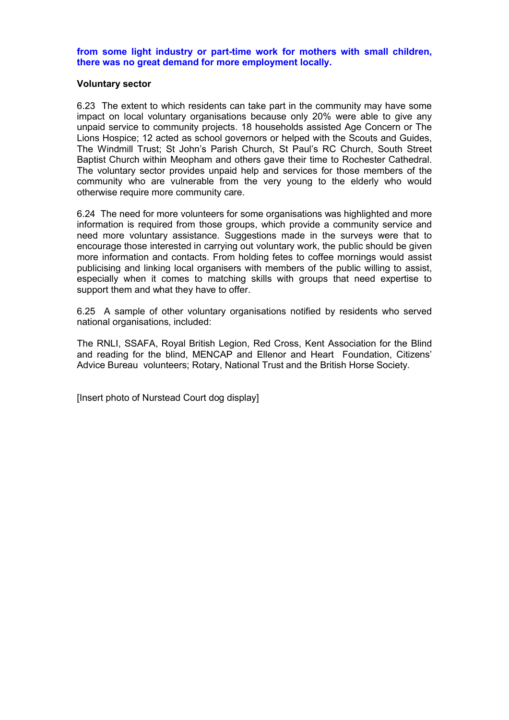**from some light industry or part-time work for mothers with small children, there was no great demand for more employment locally.**

#### **Voluntary sector**

6.23 The extent to which residents can take part in the community may have some impact on local voluntary organisations because only 20% were able to give any unpaid service to community projects. 18 households assisted Age Concern or The Lions Hospice; 12 acted as school governors or helped with the Scouts and Guides, The Windmill Trust; St John's Parish Church, St Paul's RC Church, South Street Baptist Church within Meopham and others gave their time to Rochester Cathedral. The voluntary sector provides unpaid help and services for those members of the community who are vulnerable from the very young to the elderly who would otherwise require more community care.

6.24 The need for more volunteers for some organisations was highlighted and more information is required from those groups, which provide a community service and need more voluntary assistance. Suggestions made in the surveys were that to encourage those interested in carrying out voluntary work, the public should be given more information and contacts. From holding fetes to coffee mornings would assist publicising and linking local organisers with members of the public willing to assist, especially when it comes to matching skills with groups that need expertise to support them and what they have to offer.

6.25 A sample of other voluntary organisations notified by residents who served national organisations, included:

The RNLI, SSAFA, Royal British Legion, Red Cross, Kent Association for the Blind and reading for the blind, MENCAP and Ellenor and Heart Foundation, Citizens' Advice Bureau volunteers; Rotary, National Trust and the British Horse Society.

[Insert photo of Nurstead Court dog display]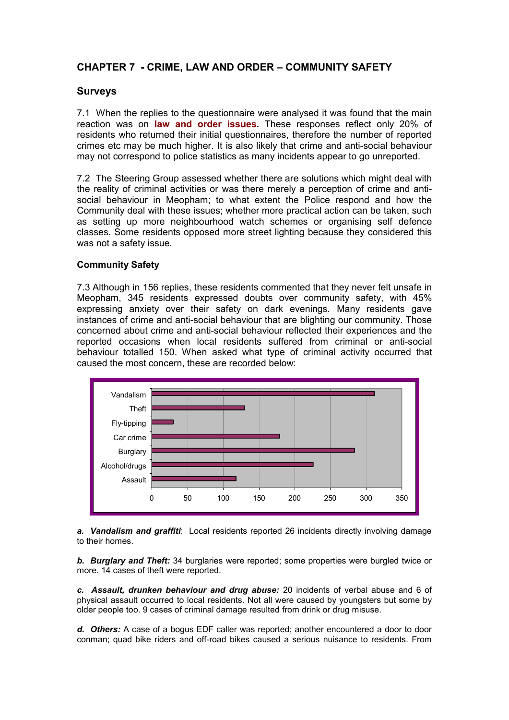# **CHAPTER 7 - CRIME, LAW AND ORDER – COMMUNITY SAFETY**

## **Surveys**

7.1 When the replies to the questionnaire were analysed it was found that the main reaction was on **law and order issues.** These responses reflect only 20% of residents who returned their initial questionnaires, therefore the number of reported crimes etc may be much higher. It is also likely that crime and anti-social behaviour may not correspond to police statistics as many incidents appear to go unreported.

7.2 The Steering Group assessed whether there are solutions which might deal with the reality of criminal activities or was there merely a perception of crime and antisocial behaviour in Meopham; to what extent the Police respond and how the Community deal with these issues; whether more practical action can be taken, such as setting up more neighbourhood watch schemes or organising self defence classes. Some residents opposed more street lighting because they considered this was not a safety issue.

## **Community Safety**

7.3 Although in 156 replies, these residents commented that they never felt unsafe in Meopham, 345 residents expressed doubts over community safety, with 45% expressing anxiety over their safety on dark evenings. Many residents gave instances of crime and anti-social behaviour that are blighting our community. Those concerned about crime and anti-social behaviour reflected their experiences and the reported occasions when local residents suffered from criminal or anti-social behaviour totalled 150. When asked what type of criminal activity occurred that caused the most concern, these are recorded below:



*a. Vandalism and graffiti*: Local residents reported 26 incidents directly involving damage to their homes.

*b. Burglary and Theft:* 34 burglaries were reported; some properties were burgled twice or more. 14 cases of theft were reported.

*c. Assault, drunken behaviour and drug abuse:* 20 incidents of verbal abuse and 6 of physical assault occurred to local residents. Not all were caused by youngsters but some by older people too. 9 cases of criminal damage resulted from drink or drug misuse.

*d. Others:* A case of a bogus EDF caller was reported; another encountered a door to door conman; quad bike riders and off-road bikes caused a serious nuisance to residents. From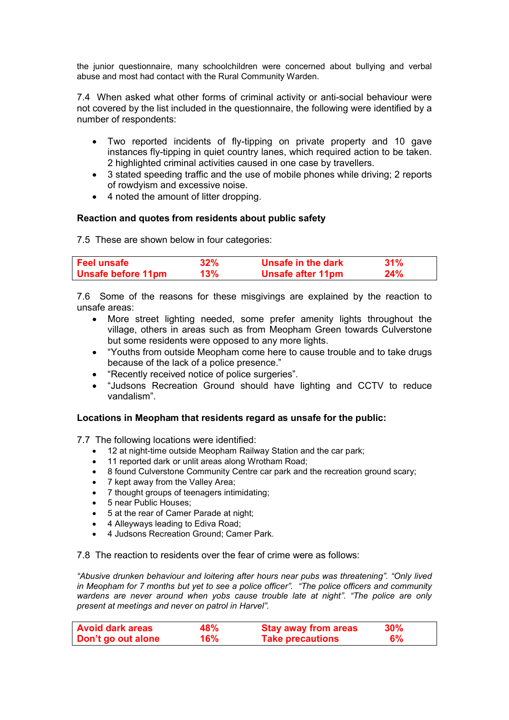the junior questionnaire, many schoolchildren were concerned about bullying and verbal abuse and most had contact with the Rural Community Warden.

7.4 When asked what other forms of criminal activity or anti-social behaviour were not covered by the list included in the questionnaire, the following were identified by a number of respondents:

- Two reported incidents of fly-tipping on private property and 10 gave instances fly-tipping in quiet country lanes, which required action to be taken. 2 highlighted criminal activities caused in one case by travellers.
- 3 stated speeding traffic and the use of mobile phones while driving; 2 reports of rowdyism and excessive noise.
- 4 noted the amount of litter dropping.

#### **Reaction and quotes from residents about public safety**

7.5 These are shown below in four categories:

| <b>Feel unsafe</b>        | 32% | Unsafe in the dark       | 31% |
|---------------------------|-----|--------------------------|-----|
| <b>Unsafe before 11pm</b> | 13% | <b>Unsafe after 11pm</b> | 24% |

7.6 Some of the reasons for these misgivings are explained by the reaction to unsafe areas:

- More street lighting needed, some prefer amenity lights throughout the village, others in areas such as from Meopham Green towards Culverstone but some residents were opposed to any more lights.
- "Youths from outside Meopham come here to cause trouble and to take drugs because of the lack of a police presence."
- "Recently received notice of police surgeries".
- "Judsons Recreation Ground should have lighting and CCTV to reduce vandalism".

#### **Locations in Meopham that residents regard as unsafe for the public:**

7.7 The following locations were identified:

- 12 at night-time outside Meopham Railway Station and the car park;
- 11 reported dark or unlit areas along Wrotham Road;
- 8 found Culverstone Community Centre car park and the recreation ground scary;
- 7 kept away from the Valley Area;
- 7 thought groups of teenagers intimidating;
- 5 near Public Houses:
- 5 at the rear of Camer Parade at night;
- 4 Alleyways leading to Ediva Road;
- 4 Judsons Recreation Ground; Camer Park.

7.8 The reaction to residents over the fear of crime were as follows:

*"Abusive drunken behaviour and loitering after hours near pubs was threatening". "Only lived in Meopham for 7 months but yet to see a police officer". "The police officers and community wardens are never around when yobs cause trouble late at night". "The police are only present at meetings and never on patrol in Harvel".*

| <b>Avoid dark areas</b> | <b>48%</b> | <b>Stay away from areas</b> | $30\%$ |
|-------------------------|------------|-----------------------------|--------|
| Don't go out alone      | 16%        | <b>Take precautions</b>     | 6%     |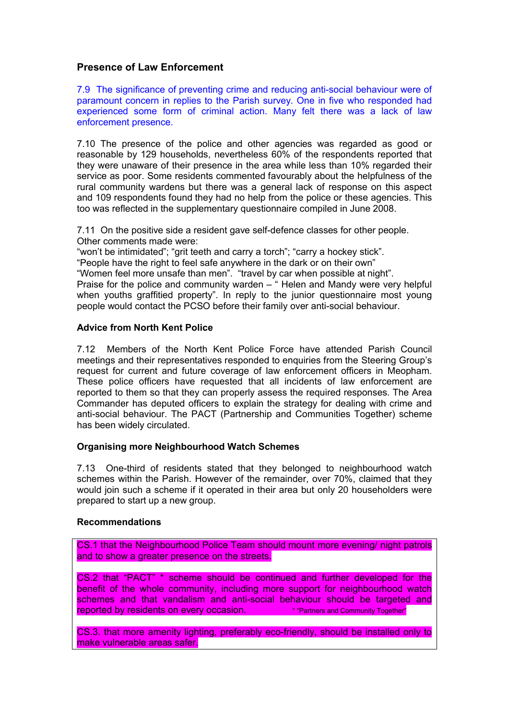## **Presence of Law Enforcement**

7.9 The significance of preventing crime and reducing anti-social behaviour were of paramount concern in replies to the Parish survey. One in five who responded had experienced some form of criminal action. Many felt there was a lack of law enforcement presence.

7.10 The presence of the police and other agencies was regarded as good or reasonable by 129 households, nevertheless 60% of the respondents reported that they were unaware of their presence in the area while less than 10% regarded their service as poor. Some residents commented favourably about the helpfulness of the rural community wardens but there was a general lack of response on this aspect and 109 respondents found they had no help from the police or these agencies. This too was reflected in the supplementary questionnaire compiled in June 2008.

7.11 On the positive side a resident gave self-defence classes for other people. Other comments made were:

"won't be intimidated"; "grit teeth and carry a torch"; "carry a hockey stick".

"People have the right to feel safe anywhere in the dark or on their own"

"Women feel more unsafe than men". "travel by car when possible at night".

Praise for the police and community warden – " Helen and Mandy were very helpful when youths graffitied property". In reply to the junior questionnaire most young people would contact the PCSO before their family over anti-social behaviour.

#### **Advice from North Kent Police**

7.12 Members of the North Kent Police Force have attended Parish Council meetings and their representatives responded to enquiries from the Steering Group's request for current and future coverage of law enforcement officers in Meopham. These police officers have requested that all incidents of law enforcement are reported to them so that they can properly assess the required responses. The Area Commander has deputed officers to explain the strategy for dealing with crime and anti-social behaviour. The PACT (Partnership and Communities Together) scheme has been widely circulated.

## **Organising more Neighbourhood Watch Schemes**

7.13 One-third of residents stated that they belonged to neighbourhood watch schemes within the Parish. However of the remainder, over 70%, claimed that they would join such a scheme if it operated in their area but only 20 householders were prepared to start up a new group.

#### **Recommendations**

CS.1 that the Neighbourhood Police Team should mount more evening/ night patrols and to show a greater presence on the streets.

CS.2 that "PACT" \* scheme should be continued and further developed for the benefit of the whole community, including more support for neighbourhood watch schemes and that vandalism and anti-social behaviour should be targeted and reported by residents on every occasion. \*\*\*\*\*\*\* "Partners and Community Together"

CS.3. that more amenity lighting, preferably eco-friendly, should be installed only to make vulnerable areas safer.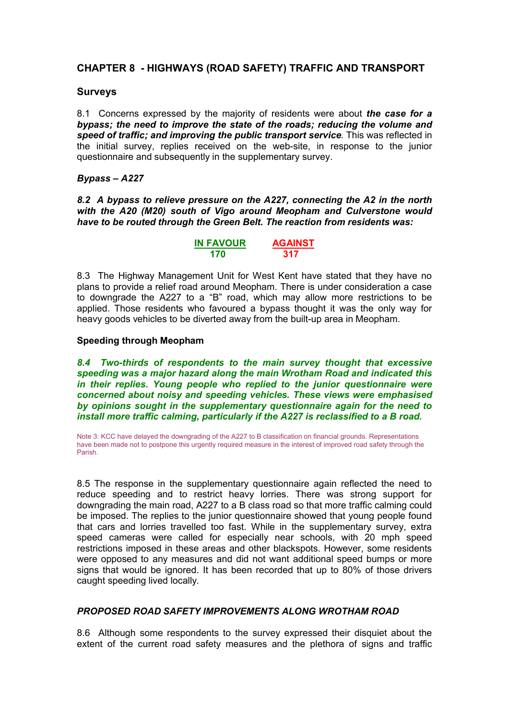# **CHAPTER 8 - HIGHWAYS (ROAD SAFETY) TRAFFIC AND TRANSPORT**

## **Surveys**

8.1 Concerns expressed by the majority of residents were about *the case for a bypass; the need to improve the state of the roads; reducing the volume and speed of traffic; and improving the public transport service*. This was reflected in the initial survey, replies received on the web-site, in response to the junior questionnaire and subsequently in the supplementary survey.

#### *Bypass – A227*

*8.2 A bypass to relieve pressure on the A227, connecting the A2 in the north with the A20 (M20) south of Vigo around Meopham and Culverstone would have to be routed through the Green Belt. The reaction from residents was:*

| <b>IN FAVOUR</b> | <b>AGAINST</b> |
|------------------|----------------|
| 170              | 317            |

8.3 The Highway Management Unit for West Kent have stated that they have no plans to provide a relief road around Meopham. There is under consideration a case to downgrade the A227 to a "B" road, which may allow more restrictions to be applied. Those residents who favoured a bypass thought it was the only way for heavy goods vehicles to be diverted away from the built-up area in Meopham.

#### **Speeding through Meopham**

*8.4 Two-thirds of respondents to the main survey thought that excessive speeding was a major hazard along the main Wrotham Road and indicated this in their replies. Young people who replied to the junior questionnaire were concerned about noisy and speeding vehicles. These views were emphasised by opinions sought in the supplementary questionnaire again for the need to install more traffic calming, particularly if the A227 is reclassified to a B road.*

Note 3: KCC have delayed the downgrading of the A227 to B classification on financial grounds. Representations have been made not to postpone this urgently required measure in the interest of improved road safety through the Parish.

8.5 The response in the supplementary questionnaire again reflected the need to reduce speeding and to restrict heavy lorries. There was strong support for downgrading the main road, A227 to a B class road so that more traffic calming could be imposed. The replies to the junior questionnaire showed that young people found that cars and lorries travelled too fast. While in the supplementary survey, extra speed cameras were called for especially near schools, with 20 mph speed restrictions imposed in these areas and other blackspots. However, some residents were opposed to any measures and did not want additional speed bumps or more signs that would be ignored. It has been recorded that up to 80% of those drivers caught speeding lived locally.

## *PROPOSED ROAD SAFETY IMPROVEMENTS ALONG WROTHAM ROAD*

8.6 Although some respondents to the survey expressed their disquiet about the extent of the current road safety measures and the plethora of signs and traffic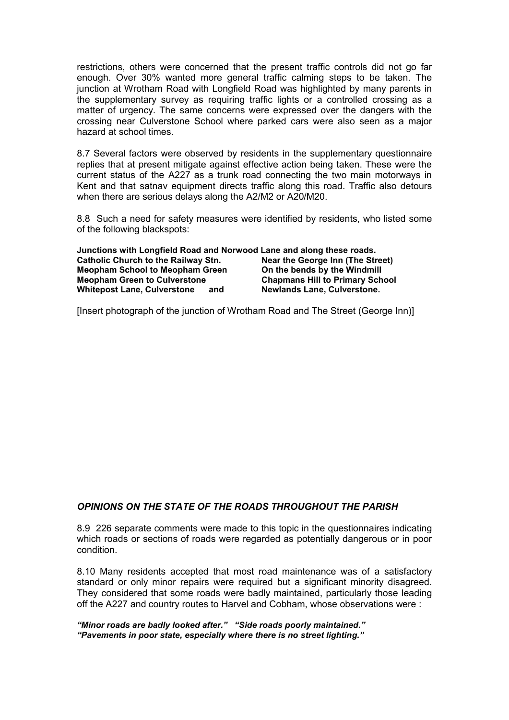restrictions, others were concerned that the present traffic controls did not go far enough. Over 30% wanted more general traffic calming steps to be taken. The junction at Wrotham Road with Longfield Road was highlighted by many parents in the supplementary survey as requiring traffic lights or a controlled crossing as a matter of urgency. The same concerns were expressed over the dangers with the crossing near Culverstone School where parked cars were also seen as a major hazard at school times.

8.7 Several factors were observed by residents in the supplementary questionnaire replies that at present mitigate against effective action being taken. These were the current status of the A227 as a trunk road connecting the two main motorways in Kent and that satnav equipment directs traffic along this road. Traffic also detours when there are serious delays along the A2/M2 or A20/M20.

8.8 Such a need for safety measures were identified by residents, who listed some of the following blackspots:

| Junctions with Longfield Road and Norwood Lane and along these roads. |                                        |
|-----------------------------------------------------------------------|----------------------------------------|
| <b>Catholic Church to the Railway Stn.</b>                            | Near the George Inn (The Street)       |
| <b>Meopham School to Meopham Green</b>                                | On the bends by the Windmill           |
| <b>Meopham Green to Culverstone</b>                                   | <b>Chapmans Hill to Primary School</b> |
| <b>Whitepost Lane, Culverstone</b><br>and                             | <b>Newlands Lane, Culverstone.</b>     |

[Insert photograph of the junction of Wrotham Road and The Street (George Inn)]

#### *OPINIONS ON THE STATE OF THE ROADS THROUGHOUT THE PARISH*

8.9 226 separate comments were made to this topic in the questionnaires indicating which roads or sections of roads were regarded as potentially dangerous or in poor condition.

8.10 Many residents accepted that most road maintenance was of a satisfactory standard or only minor repairs were required but a significant minority disagreed. They considered that some roads were badly maintained, particularly those leading off the A227 and country routes to Harvel and Cobham, whose observations were :

*"Minor roads are badly looked after." "Side roads poorly maintained." "Pavements in poor state, especially where there is no street lighting."*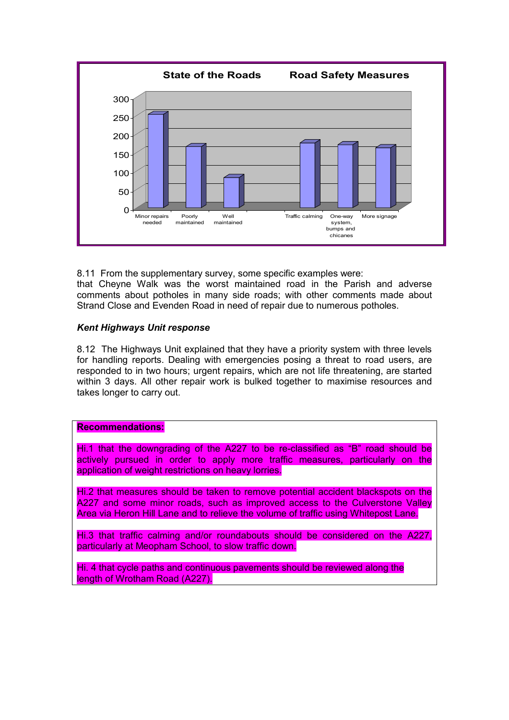

8.11 From the supplementary survey, some specific examples were: that Cheyne Walk was the worst maintained road in the Parish and adverse comments about potholes in many side roads; with other comments made about Strand Close and Evenden Road in need of repair due to numerous potholes.

## *Kent Highways Unit response*

8.12 The Highways Unit explained that they have a priority system with three levels for handling reports. Dealing with emergencies posing a threat to road users, are responded to in two hours; urgent repairs, which are not life threatening, are started within 3 days. All other repair work is bulked together to maximise resources and takes longer to carry out.

# **Recommendations:**

Hi.1 that the downgrading of the A227 to be re-classified as "B" road should be actively pursued in order to apply more traffic measures, particularly on the application of weight restrictions on heavy lorries.

Hi.2 that measures should be taken to remove potential accident blackspots on the A227 and some minor roads, such as improved access to the Culverstone Valley Area via Heron Hill Lane and to relieve the volume of traffic using Whitepost Lane.

Hi.3 that traffic calming and/or roundabouts should be considered on the A227, particularly at Meopham School, to slow traffic down.

Hi. 4 that cycle paths and continuous pavements should be reviewed along the length of Wrotham Road (A227).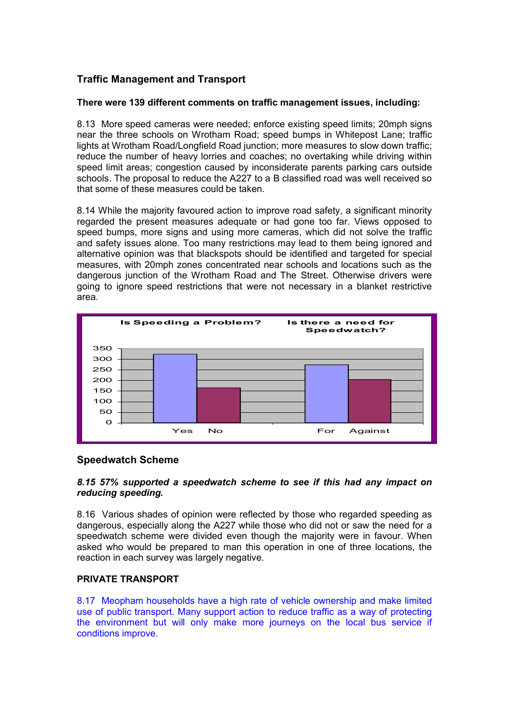# **Traffic Management and Transport**

## **There were 139 different comments on traffic management issues, including:**

8.13 More speed cameras were needed; enforce existing speed limits; 20mph signs near the three schools on Wrotham Road; speed bumps in Whitepost Lane; traffic lights at Wrotham Road/Longfield Road junction; more measures to slow down traffic; reduce the number of heavy lorries and coaches; no overtaking while driving within speed limit areas; congestion caused by inconsiderate parents parking cars outside schools. The proposal to reduce the A227 to a B classified road was well received so that some of these measures could be taken.

8.14 While the majority favoured action to improve road safety, a significant minority regarded the present measures adequate or had gone too far. Views opposed to speed bumps, more signs and using more cameras, which did not solve the traffic and safety issues alone. Too many restrictions may lead to them being ignored and alternative opinion was that blackspots should be identified and targeted for special measures, with 20mph zones concentrated near schools and locations such as the dangerous junction of the Wrotham Road and The Street. Otherwise drivers were going to ignore speed restrictions that were not necessary in a blanket restrictive area.



## **Speedwatch Scheme**

## *8.15 57% supported a speedwatch scheme to see if this had any impact on reducing speeding.*

8.16 Various shades of opinion were reflected by those who regarded speeding as dangerous, especially along the A227 while those who did not or saw the need for a speedwatch scheme were divided even though the majority were in favour. When asked who would be prepared to man this operation in one of three locations, the reaction in each survey was largely negative.

## **PRIVATE TRANSPORT**

8.17 Meopham households have a high rate of vehicle ownership and make limited use of public transport. Many support action to reduce traffic as a way of protecting the environment but will only make more journeys on the local bus service if conditions improve.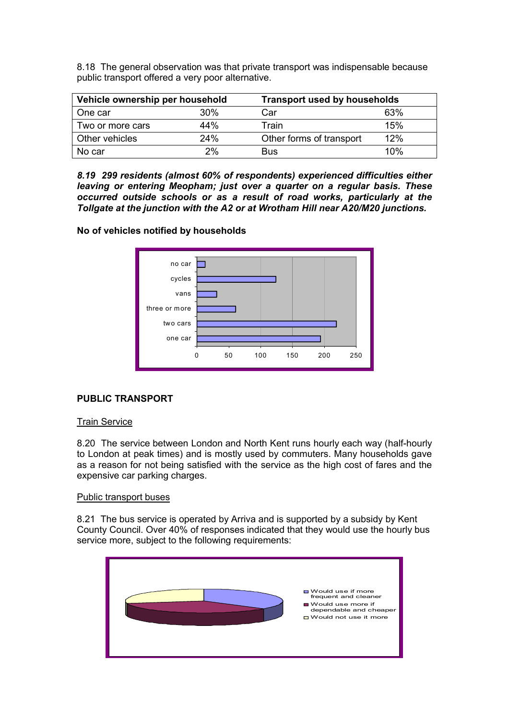8.18 The general observation was that private transport was indispensable because public transport offered a very poor alternative.

| Vehicle ownership per household |     | <b>Transport used by households</b> |     |  |
|---------------------------------|-----|-------------------------------------|-----|--|
| One car                         | 30% | Car                                 | 63% |  |
| Two or more cars                | 44% | Train                               | 15% |  |
| Other vehicles                  | 24% | Other forms of transport            | 12% |  |
| No car                          | 2%  | <b>Bus</b>                          | 10% |  |

*8.19 299 residents (almost 60% of respondents) experienced difficulties either leaving or entering Meopham; just over a quarter on a regular basis. These occurred outside schools or as a result of road works, particularly at the Tollgate at the junction with the A2 or at Wrotham Hill near A20/M20 junctions.*

## **No of vehicles notified by households**



# **PUBLIC TRANSPORT**

## Train Service

8.20 The service between London and North Kent runs hourly each way (half-hourly to London at peak times) and is mostly used by commuters. Many households gave as a reason for not being satisfied with the service as the high cost of fares and the expensive car parking charges.

#### Public transport buses

8.21 The bus service is operated by Arriva and is supported by a subsidy by Kent County Council. Over 40% of responses indicated that they would use the hourly bus service more, subject to the following requirements:

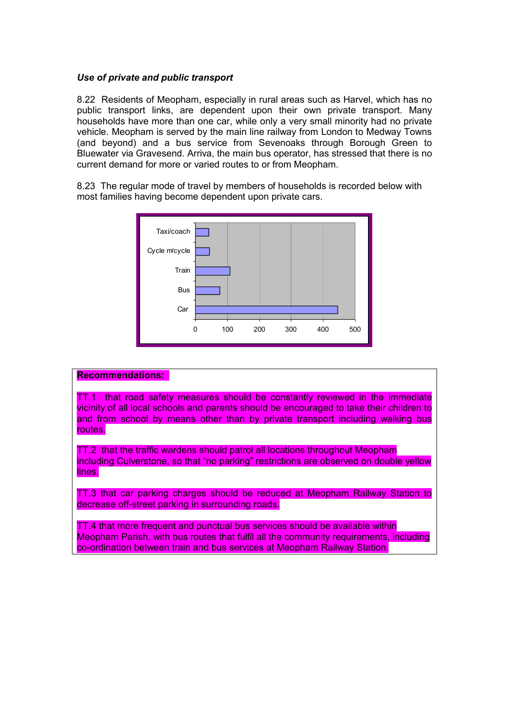## *Use of private and public transport*

8.22 Residents of Meopham, especially in rural areas such as Harvel, which has no public transport links, are dependent upon their own private transport. Many households have more than one car, while only a very small minority had no private vehicle. Meopham is served by the main line railway from London to Medway Towns (and beyond) and a bus service from Sevenoaks through Borough Green to Bluewater via Gravesend. Arriva, the main bus operator, has stressed that there is no current demand for more or varied routes to or from Meopham.

8.23 The regular mode of travel by members of households is recorded below with most families having become dependent upon private cars.



#### **Recommendations:**

TT.1 that road safety measures should be constantly reviewed in the immediate vicinity of all local schools and parents should be encouraged to take their children to and from school by means other than by private transport including walking bus routes.

TT.2 that the traffic wardens should patrol all locations throughout Meopham including Culverstone, so that "no parking" restrictions are observed on double yellow lines.

TT.3 that car parking charges should be reduced at Meopham Railway Station to decrease off-street parking in surrounding roads.

TT.4 that more frequent and punctual bus services should be available within Meopham Parish, with bus routes that fulfil all the community requirements, including co-ordination between train and bus services at Meopham Railway Station.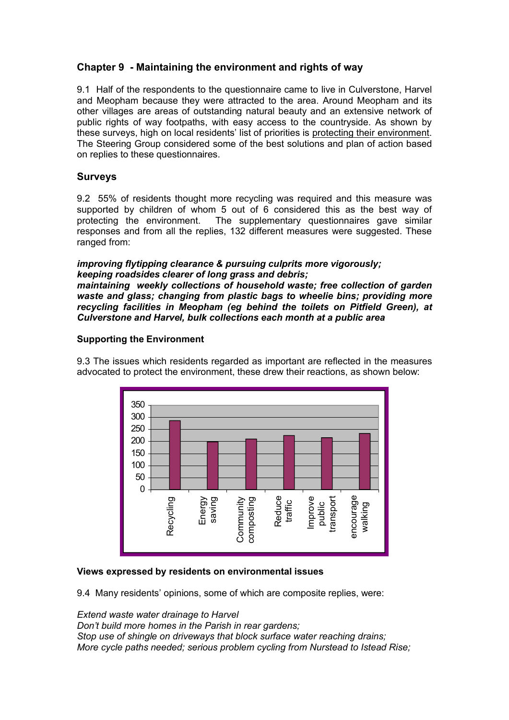# **Chapter 9 - Maintaining the environment and rights of way**

9.1 Half of the respondents to the questionnaire came to live in Culverstone, Harvel and Meopham because they were attracted to the area. Around Meopham and its other villages are areas of outstanding natural beauty and an extensive network of public rights of way footpaths, with easy access to the countryside. As shown by these surveys, high on local residents' list of priorities is protecting their environment. The Steering Group considered some of the best solutions and plan of action based on replies to these questionnaires.

## **Surveys**

9.2 55% of residents thought more recycling was required and this measure was supported by children of whom 5 out of 6 considered this as the best way of protecting the environment. The supplementary questionnaires gave similar responses and from all the replies, 132 different measures were suggested. These ranged from:

## *improving flytipping clearance & pursuing culprits more vigorously; keeping roadsides clearer of long grass and debris;*

*maintaining weekly collections of household waste; free collection of garden waste and glass; changing from plastic bags to wheelie bins; providing more recycling facilities in Meopham (eg behind the toilets on Pitfield Green), at Culverstone and Harvel, bulk collections each month at a public area*

## **Supporting the Environment**

9.3 The issues which residents regarded as important are reflected in the measures advocated to protect the environment, these drew their reactions, as shown below:



## **Views expressed by residents on environmental issues**

9.4 Many residents' opinions, some of which are composite replies, were:

*Extend waste water drainage to Harvel Don't build more homes in the Parish in rear gardens; Stop use of shingle on driveways that block surface water reaching drains; More cycle paths needed; serious problem cycling from Nurstead to Istead Rise;*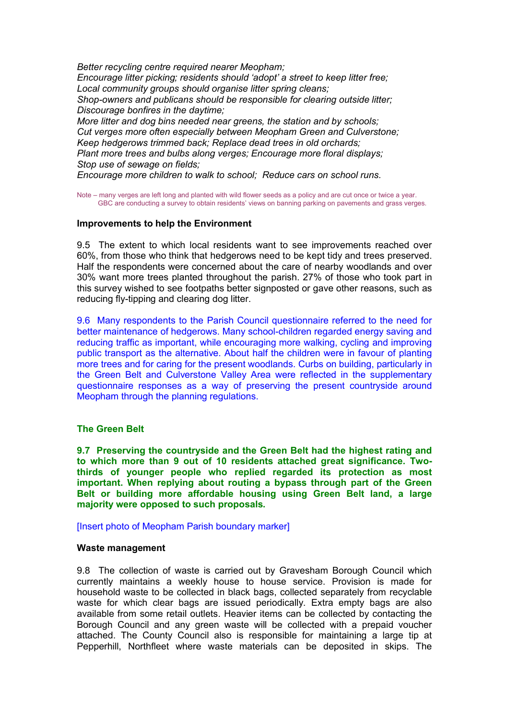*Better recycling centre required nearer Meopham; Encourage litter picking; residents should 'adopt' a street to keep litter free; Local community groups should organise litter spring cleans; Shop-owners and publicans should be responsible for clearing outside litter; Discourage bonfires in the daytime; More litter and dog bins needed near greens, the station and by schools; Cut verges more often especially between Meopham Green and Culverstone; Keep hedgerows trimmed back; Replace dead trees in old orchards; Plant more trees and bulbs along verges; Encourage more floral displays; Stop use of sewage on fields;*

*Encourage more children to walk to school; Reduce cars on school runs.*

Note – many verges are left long and planted with wild flower seeds as a policy and are cut once or twice a year. GBC are conducting a survey to obtain residents' views on banning parking on pavements and grass verges.

#### **Improvements to help the Environment**

9.5 The extent to which local residents want to see improvements reached over 60%, from those who think that hedgerows need to be kept tidy and trees preserved. Half the respondents were concerned about the care of nearby woodlands and over 30% want more trees planted throughout the parish. 27% of those who took part in this survey wished to see footpaths better signposted or gave other reasons, such as reducing fly-tipping and clearing dog litter.

9.6 Many respondents to the Parish Council questionnaire referred to the need for better maintenance of hedgerows. Many school-children regarded energy saving and reducing traffic as important, while encouraging more walking, cycling and improving public transport as the alternative. About half the children were in favour of planting more trees and for caring for the present woodlands. Curbs on building, particularly in the Green Belt and Culverstone Valley Area were reflected in the supplementary questionnaire responses as a way of preserving the present countryside around Meopham through the planning regulations.

#### **The Green Belt**

**9.7 Preserving the countryside and the Green Belt had the highest rating and to which more than 9 out of 10 residents attached great significance. Twothirds of younger people who replied regarded its protection as most important. When replying about routing a bypass through part of the Green Belt or building more affordable housing using Green Belt land, a large majority were opposed to such proposals.**

[Insert photo of Meopham Parish boundary marker]

#### **Waste management**

9.8 The collection of waste is carried out by Gravesham Borough Council which currently maintains a weekly house to house service. Provision is made for household waste to be collected in black bags, collected separately from recyclable waste for which clear bags are issued periodically. Extra empty bags are also available from some retail outlets. Heavier items can be collected by contacting the Borough Council and any green waste will be collected with a prepaid voucher attached. The County Council also is responsible for maintaining a large tip at Pepperhill, Northfleet where waste materials can be deposited in skips. The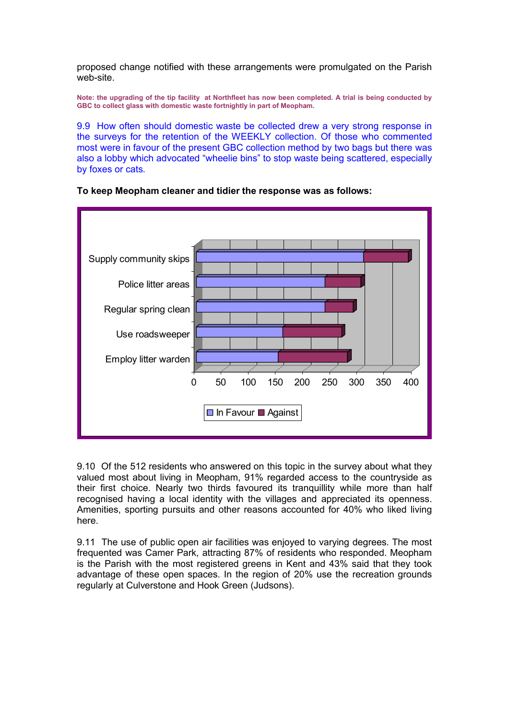proposed change notified with these arrangements were promulgated on the Parish web-site.

**Note: the upgrading of the tip facility at Northfleet has now been completed. A trial is being conducted by GBC to collect glass with domestic waste fortnightly in part of Meopham.**

9.9 How often should domestic waste be collected drew a very strong response in the surveys for the retention of the WEEKLY collection. Of those who commented most were in favour of the present GBC collection method by two bags but there was also a lobby which advocated "wheelie bins" to stop waste being scattered, especially by foxes or cats.



#### **To keep Meopham cleaner and tidier the response was as follows:**

9.10 Of the 512 residents who answered on this topic in the survey about what they valued most about living in Meopham, 91% regarded access to the countryside as their first choice. Nearly two thirds favoured its tranquillity while more than half recognised having a local identity with the villages and appreciated its openness. Amenities, sporting pursuits and other reasons accounted for 40% who liked living here.

9.11 The use of public open air facilities was enjoyed to varying degrees. The most frequented was Camer Park, attracting 87% of residents who responded. Meopham is the Parish with the most registered greens in Kent and 43% said that they took advantage of these open spaces. In the region of 20% use the recreation grounds regularly at Culverstone and Hook Green (Judsons).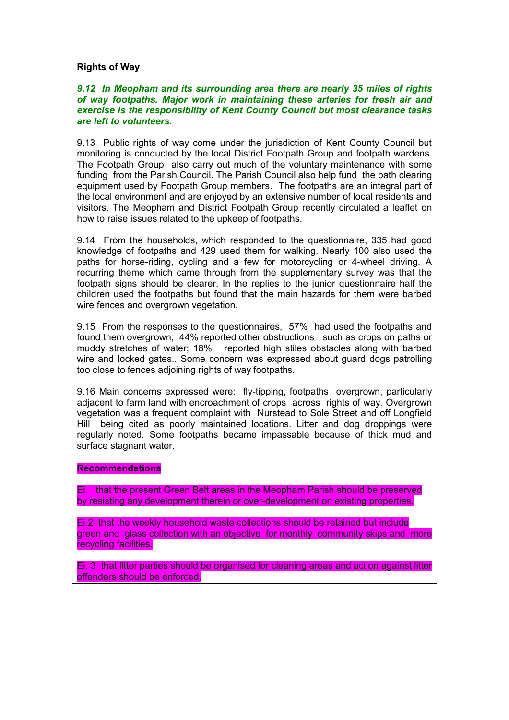#### **Rights of Way**

#### *9.12 In Meopham and its surrounding area there are nearly 35 miles of rights of way footpaths. Major work in maintaining these arteries for fresh air and exercise is the responsibility of Kent County Council but most clearance tasks are left to volunteers.*

9.13 Public rights of way come under the jurisdiction of Kent County Council but monitoring is conducted by the local District Footpath Group and footpath wardens. The Footpath Group also carry out much of the voluntary maintenance with some funding from the Parish Council. The Parish Council also help fund the path clearing equipment used by Footpath Group members. The footpaths are an integral part of the local environment and are enjoyed by an extensive number of local residents and visitors. The Meopham and District Footpath Group recently circulated a leaflet on how to raise issues related to the upkeep of footpaths.

9.14 From the households, which responded to the questionnaire, 335 had good knowledge of footpaths and 429 used them for walking. Nearly 100 also used the paths for horse-riding, cycling and a few for motorcycling or 4-wheel driving. A recurring theme which came through from the supplementary survey was that the footpath signs should be clearer. In the replies to the junior questionnaire half the children used the footpaths but found that the main hazards for them were barbed wire fences and overgrown vegetation.

9.15 From the responses to the questionnaires, 57% had used the footpaths and found them overgrown; 44% reported other obstructions such as crops on paths or muddy stretches of water; 18% reported high stiles obstacles along with barbed wire and locked gates.. Some concern was expressed about guard dogs patrolling too close to fences adjoining rights of way footpaths.

9.16 Main concerns expressed were: fly-tipping, footpaths overgrown, particularly adjacent to farm land with encroachment of crops across rights of way. Overgrown vegetation was a frequent complaint with Nurstead to Sole Street and off Longfield Hill being cited as poorly maintained locations. Litter and dog droppings were regularly noted. Some footpaths became impassable because of thick mud and surface stagnant water.

#### **Recommendations**

Ei. that the present Green Belt areas in the Meopham Parish should be preserved by resisting any development therein or over-development on existing properties.

Ei.2 that the weekly household waste collections should be retained but include green and glass collection with an objective for monthly community skips and more recycling facilities.

Ei. 3 that litter parties should be organised for cleaning areas and action against litter offenders should be enforced.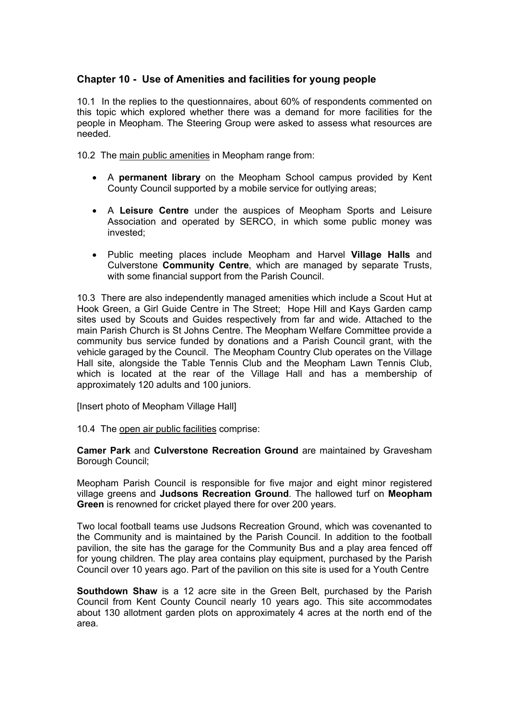# **Chapter 10 - Use of Amenities and facilities for young people**

10.1 In the replies to the questionnaires, about 60% of respondents commented on this topic which explored whether there was a demand for more facilities for the people in Meopham. The Steering Group were asked to assess what resources are needed.

10.2 The main public amenities in Meopham range from:

- A **permanent library** on the Meopham School campus provided by Kent County Council supported by a mobile service for outlying areas;
- A **Leisure Centre** under the auspices of Meopham Sports and Leisure Association and operated by SERCO, in which some public money was invested;
- Public meeting places include Meopham and Harvel **Village Halls** and Culverstone **Community Centre**, which are managed by separate Trusts, with some financial support from the Parish Council.

10.3 There are also independently managed amenities which include a Scout Hut at Hook Green, a Girl Guide Centre in The Street; Hope Hill and Kays Garden camp sites used by Scouts and Guides respectively from far and wide. Attached to the main Parish Church is St Johns Centre. The Meopham Welfare Committee provide a community bus service funded by donations and a Parish Council grant, with the vehicle garaged by the Council. The Meopham Country Club operates on the Village Hall site, alongside the Table Tennis Club and the Meopham Lawn Tennis Club, which is located at the rear of the Village Hall and has a membership of approximately 120 adults and 100 juniors.

[Insert photo of Meopham Village Hall]

## 10.4 The open air public facilities comprise:

**Camer Park** and **Culverstone Recreation Ground** are maintained by Gravesham Borough Council;

Meopham Parish Council is responsible for five major and eight minor registered village greens and **Judsons Recreation Ground**. The hallowed turf on **Meopham Green** is renowned for cricket played there for over 200 years.

Two local football teams use Judsons Recreation Ground, which was covenanted to the Community and is maintained by the Parish Council. In addition to the football pavilion, the site has the garage for the Community Bus and a play area fenced off for young children. The play area contains play equipment, purchased by the Parish Council over 10 years ago. Part of the pavilion on this site is used for a Youth Centre

**Southdown Shaw** is a 12 acre site in the Green Belt, purchased by the Parish Council from Kent County Council nearly 10 years ago. This site accommodates about 130 allotment garden plots on approximately 4 acres at the north end of the area.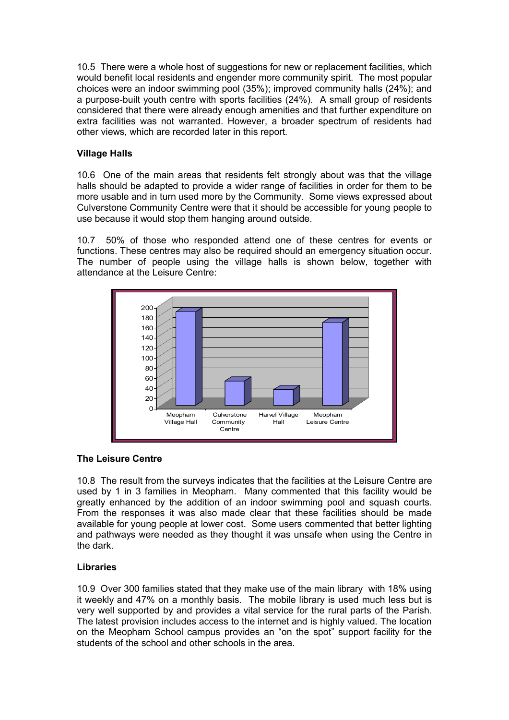10.5 There were a whole host of suggestions for new or replacement facilities, which would benefit local residents and engender more community spirit. The most popular choices were an indoor swimming pool (35%); improved community halls (24%); and a purpose-built youth centre with sports facilities (24%). A small group of residents considered that there were already enough amenities and that further expenditure on extra facilities was not warranted. However, a broader spectrum of residents had other views, which are recorded later in this report.

## **Village Halls**

10.6 One of the main areas that residents felt strongly about was that the village halls should be adapted to provide a wider range of facilities in order for them to be more usable and in turn used more by the Community. Some views expressed about Culverstone Community Centre were that it should be accessible for young people to use because it would stop them hanging around outside.

10.7 50% of those who responded attend one of these centres for events or functions. These centres may also be required should an emergency situation occur. The number of people using the village halls is shown below, together with attendance at the Leisure Centre:



## **The Leisure Centre**

10.8 The result from the surveys indicates that the facilities at the Leisure Centre are used by 1 in 3 families in Meopham. Many commented that this facility would be greatly enhanced by the addition of an indoor swimming pool and squash courts. From the responses it was also made clear that these facilities should be made available for young people at lower cost. Some users commented that better lighting and pathways were needed as they thought it was unsafe when using the Centre in the dark.

# **Libraries**

10.9 Over 300 families stated that they make use of the main library with 18% using it weekly and 47% on a monthly basis. The mobile library is used much less but is very well supported by and provides a vital service for the rural parts of the Parish. The latest provision includes access to the internet and is highly valued. The location on the Meopham School campus provides an "on the spot" support facility for the students of the school and other schools in the area.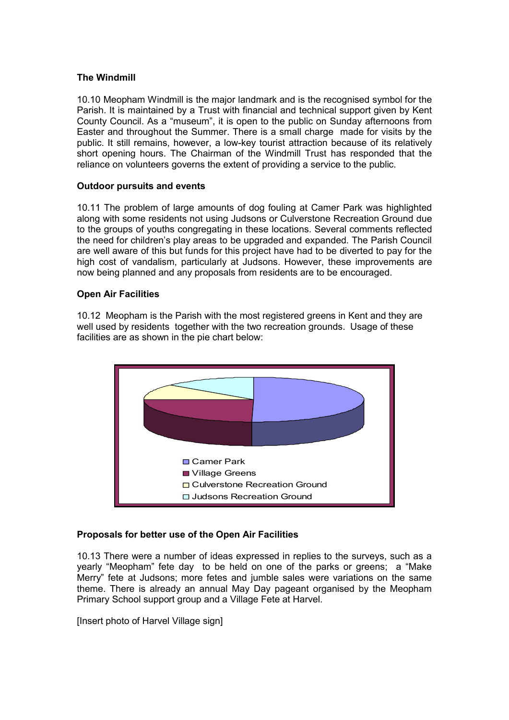## **The Windmill**

10.10 Meopham Windmill is the major landmark and is the recognised symbol for the Parish. It is maintained by a Trust with financial and technical support given by Kent County Council. As a "museum", it is open to the public on Sunday afternoons from Easter and throughout the Summer. There is a small charge made for visits by the public. It still remains, however, a low-key tourist attraction because of its relatively short opening hours. The Chairman of the Windmill Trust has responded that the reliance on volunteers governs the extent of providing a service to the public.

## **Outdoor pursuits and events**

10.11 The problem of large amounts of dog fouling at Camer Park was highlighted along with some residents not using Judsons or Culverstone Recreation Ground due to the groups of youths congregating in these locations. Several comments reflected the need for children's play areas to be upgraded and expanded. The Parish Council are well aware of this but funds for this project have had to be diverted to pay for the high cost of vandalism, particularly at Judsons. However, these improvements are now being planned and any proposals from residents are to be encouraged.

#### **Open Air Facilities**

10.12 Meopham is the Parish with the most registered greens in Kent and they are well used by residents together with the two recreation grounds. Usage of these facilities are as shown in the pie chart below:



## **Proposals for better use of the Open Air Facilities**

10.13 There were a number of ideas expressed in replies to the surveys, such as a yearly "Meopham" fete day to be held on one of the parks or greens; a "Make Merry" fete at Judsons; more fetes and jumble sales were variations on the same theme. There is already an annual May Day pageant organised by the Meopham Primary School support group and a Village Fete at Harvel.

[Insert photo of Harvel Village sign]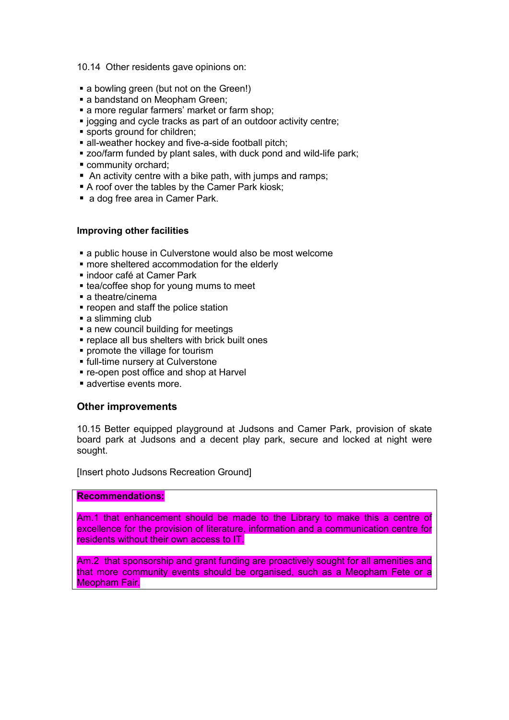10.14 Other residents gave opinions on:

- a bowling green (but not on the Green!)
- a bandstand on Meopham Green;
- **a** more regular farmers' market or farm shop:
- **.** jogging and cycle tracks as part of an outdoor activity centre;
- sports ground for children;
- all-weather hockey and five-a-side football pitch;
- **EX 200/farm funded by plant sales, with duck pond and wild-life park;**
- community orchard;
- An activity centre with a bike path, with jumps and ramps;
- A roof over the tables by the Camer Park kiosk;
- a dog free area in Camer Park.

#### **Improving other facilities**

- a public house in Culverstone would also be most welcome
- more sheltered accommodation for the elderly
- **· indoor café at Camer Park**
- **Example 2** tea/coffee shop for young mums to meet
- a theatre/cinema
- **reopen and staff the police station**
- **a** slimming club
- **a** new council building for meetings
- **replace all bus shelters with brick built ones**
- **promote the village for tourism**
- **full-time nursery at Culverstone**
- re-open post office and shop at Harvel
- advertise events more.

## **Other improvements**

10.15 Better equipped playground at Judsons and Camer Park, provision of skate board park at Judsons and a decent play park, secure and locked at night were sought.

[Insert photo Judsons Recreation Ground]

#### **Recommendations:**

Am.1 that enhancement should be made to the Library to make this a centre of excellence for the provision of literature, information and a communication centre for residents without their own access to IT.

Am.2 that sponsorship and grant funding are proactively sought for all amenities and that more community events should be organised, such as a Meopham Fete or a Meopham Fair.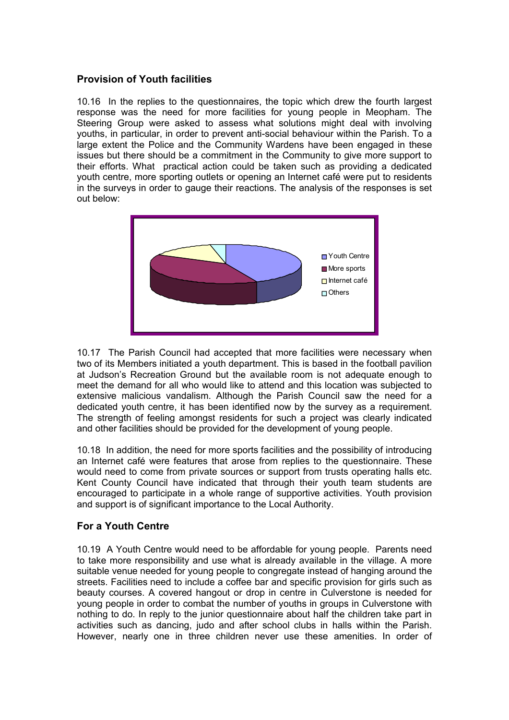## **Provision of Youth facilities**

10.16 In the replies to the questionnaires, the topic which drew the fourth largest response was the need for more facilities for young people in Meopham. The Steering Group were asked to assess what solutions might deal with involving youths, in particular, in order to prevent anti-social behaviour within the Parish. To a large extent the Police and the Community Wardens have been engaged in these issues but there should be a commitment in the Community to give more support to their efforts. What practical action could be taken such as providing a dedicated youth centre, more sporting outlets or opening an Internet café were put to residents in the surveys in order to gauge their reactions. The analysis of the responses is set out below:



10.17 The Parish Council had accepted that more facilities were necessary when two of its Members initiated a youth department. This is based in the football pavilion at Judson's Recreation Ground but the available room is not adequate enough to meet the demand for all who would like to attend and this location was subjected to extensive malicious vandalism. Although the Parish Council saw the need for a dedicated youth centre, it has been identified now by the survey as a requirement. The strength of feeling amongst residents for such a project was clearly indicated and other facilities should be provided for the development of young people.

10.18 In addition, the need for more sports facilities and the possibility of introducing an Internet café were features that arose from replies to the questionnaire. These would need to come from private sources or support from trusts operating halls etc. Kent County Council have indicated that through their youth team students are encouraged to participate in a whole range of supportive activities. Youth provision and support is of significant importance to the Local Authority.

# **For a Youth Centre**

10.19 A Youth Centre would need to be affordable for young people. Parents need to take more responsibility and use what is already available in the village. A more suitable venue needed for young people to congregate instead of hanging around the streets. Facilities need to include a coffee bar and specific provision for girls such as beauty courses. A covered hangout or drop in centre in Culverstone is needed for young people in order to combat the number of youths in groups in Culverstone with nothing to do. In reply to the junior questionnaire about half the children take part in activities such as dancing, judo and after school clubs in halls within the Parish. However, nearly one in three children never use these amenities. In order of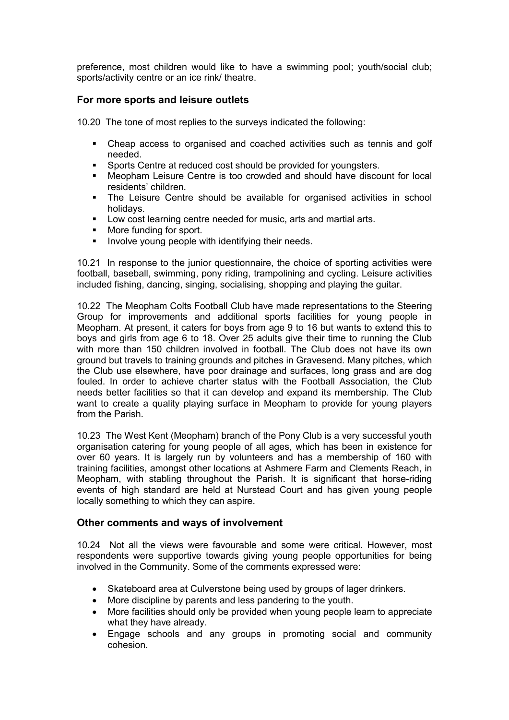preference, most children would like to have a swimming pool; youth/social club; sports/activity centre or an ice rink/ theatre.

## **For more sports and leisure outlets**

10.20 The tone of most replies to the surveys indicated the following:

- Cheap access to organised and coached activities such as tennis and golf needed.
- Sports Centre at reduced cost should be provided for youngsters.
- Meopham Leisure Centre is too crowded and should have discount for local residents' children.
- The Leisure Centre should be available for organised activities in school holidays.
- Low cost learning centre needed for music, arts and martial arts.<br>
More funding for sport
- More funding for sport.
- Involve young people with identifying their needs.

10.21 In response to the junior questionnaire, the choice of sporting activities were football, baseball, swimming, pony riding, trampolining and cycling. Leisure activities included fishing, dancing, singing, socialising, shopping and playing the guitar.

10.22 The Meopham Colts Football Club have made representations to the Steering Group for improvements and additional sports facilities for young people in Meopham. At present, it caters for boys from age 9 to 16 but wants to extend this to boys and girls from age 6 to 18. Over 25 adults give their time to running the Club with more than 150 children involved in football. The Club does not have its own ground but travels to training grounds and pitches in Gravesend. Many pitches, which the Club use elsewhere, have poor drainage and surfaces, long grass and are dog fouled. In order to achieve charter status with the Football Association, the Club needs better facilities so that it can develop and expand its membership. The Club want to create a quality playing surface in Meopham to provide for young players from the Parish.

10.23 The West Kent (Meopham) branch of the Pony Club is a very successful youth organisation catering for young people of all ages, which has been in existence for over 60 years. It is largely run by volunteers and has a membership of 160 with training facilities, amongst other locations at Ashmere Farm and Clements Reach, in Meopham, with stabling throughout the Parish. It is significant that horse-riding events of high standard are held at Nurstead Court and has given young people locally something to which they can aspire.

## **Other comments and ways of involvement**

10.24 Not all the views were favourable and some were critical. However, most respondents were supportive towards giving young people opportunities for being involved in the Community. Some of the comments expressed were:

- Skateboard area at Culverstone being used by groups of lager drinkers.
- More discipline by parents and less pandering to the youth.
- More facilities should only be provided when young people learn to appreciate what they have already.
- Engage schools and any groups in promoting social and community cohesion.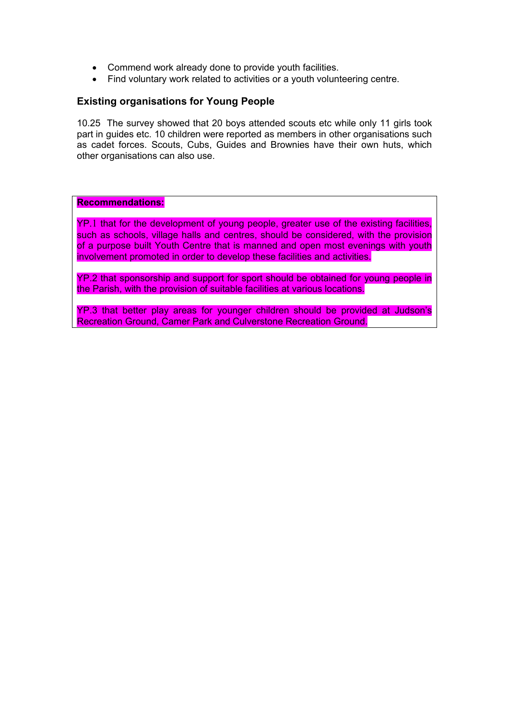- Commend work already done to provide youth facilities.
- Find voluntary work related to activities or a youth volunteering centre.

# **Existing organisations for Young People**

10.25 The survey showed that 20 boys attended scouts etc while only 11 girls took part in guides etc. 10 children were reported as members in other organisations such as cadet forces. Scouts, Cubs, Guides and Brownies have their own huts, which other organisations can also use.

**Recommendations:**

YP.1 that for the development of young people, greater use of the existing facilities, such as schools, village halls and centres, should be considered, with the provision of a purpose built Youth Centre that is manned and open most evenings with youth involvement promoted in order to develop these facilities and activities.

YP.2 that sponsorship and support for sport should be obtained for young people in the Parish, with the provision of suitable facilities at various locations.

YP.3 that better play areas for younger children should be provided at Judson's Recreation Ground, Camer Park and Culverstone Recreation Ground.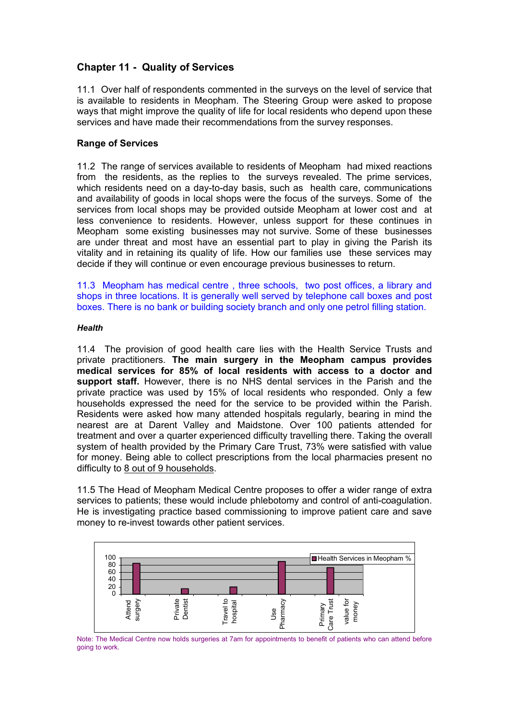# **Chapter 11 - Quality of Services**

11.1 Over half of respondents commented in the surveys on the level of service that is available to residents in Meopham. The Steering Group were asked to propose ways that might improve the quality of life for local residents who depend upon these services and have made their recommendations from the survey responses.

## **Range of Services**

11.2 The range of services available to residents of Meopham had mixed reactions from the residents, as the replies to the surveys revealed. The prime services, which residents need on a day-to-day basis, such as health care, communications and availability of goods in local shops were the focus of the surveys. Some of the services from local shops may be provided outside Meopham at lower cost and at less convenience to residents. However, unless support for these continues in Meopham some existing businesses may not survive. Some of these businesses are under threat and most have an essential part to play in giving the Parish its vitality and in retaining its quality of life. How our families use these services may decide if they will continue or even encourage previous businesses to return.

11.3 Meopham has medical centre , three schools, two post offices, a library and shops in three locations. It is generally well served by telephone call boxes and post boxes. There is no bank or building society branch and only one petrol filling station.

#### *Health*

11.4 The provision of good health care lies with the Health Service Trusts and private practitioners. **The main surgery in the Meopham campus provides medical services for 85% of local residents with access to a doctor and support staff.** However, there is no NHS dental services in the Parish and the private practice was used by 15% of local residents who responded. Only a few households expressed the need for the service to be provided within the Parish. Residents were asked how many attended hospitals regularly, bearing in mind the nearest are at Darent Valley and Maidstone. Over 100 patients attended for treatment and over a quarter experienced difficulty travelling there. Taking the overall system of health provided by the Primary Care Trust, 73% were satisfied with value for money. Being able to collect prescriptions from the local pharmacies present no difficulty to 8 out of 9 households.

11.5 The Head of Meopham Medical Centre proposes to offer a wider range of extra services to patients; these would include phlebotomy and control of anti-coagulation. He is investigating practice based commissioning to improve patient care and save money to re-invest towards other patient services.



Note: The Medical Centre now holds surgeries at 7am for appointments to benefit of patients who can attend before going to work.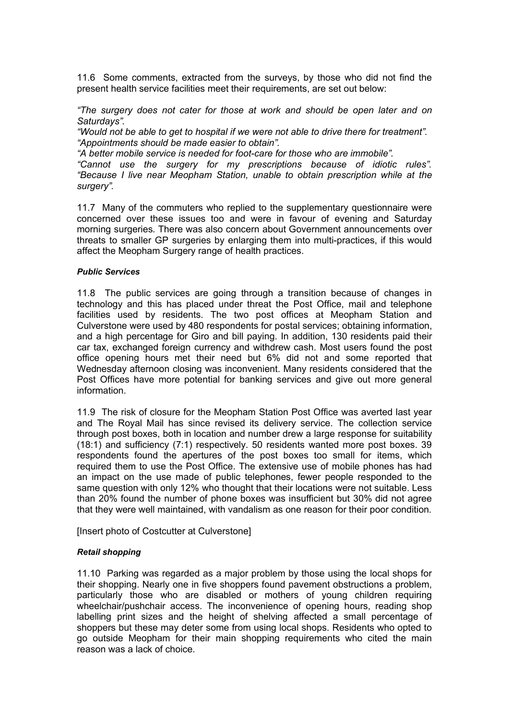11.6 Some comments, extracted from the surveys, by those who did not find the present health service facilities meet their requirements, are set out below:

*"The surgery does not cater for those at work and should be open later and on Saturdays".* 

*"Would not be able to get to hospital if we were not able to drive there for treatment". "Appointments should be made easier to obtain".*

*"A better mobile service is needed for foot-care for those who are immobile".*

*"Cannot use the surgery for my prescriptions because of idiotic rules". "Because I live near Meopham Station, unable to obtain prescription while at the surgery".*

11.7 Many of the commuters who replied to the supplementary questionnaire were concerned over these issues too and were in favour of evening and Saturday morning surgeries. There was also concern about Government announcements over threats to smaller GP surgeries by enlarging them into multi-practices, if this would affect the Meopham Surgery range of health practices.

#### *Public Services*

11.8 The public services are going through a transition because of changes in technology and this has placed under threat the Post Office, mail and telephone facilities used by residents. The two post offices at Meopham Station and Culverstone were used by 480 respondents for postal services; obtaining information, and a high percentage for Giro and bill paying. In addition, 130 residents paid their car tax, exchanged foreign currency and withdrew cash. Most users found the post office opening hours met their need but 6% did not and some reported that Wednesday afternoon closing was inconvenient. Many residents considered that the Post Offices have more potential for banking services and give out more general information.

11.9 The risk of closure for the Meopham Station Post Office was averted last year and The Royal Mail has since revised its delivery service. The collection service through post boxes, both in location and number drew a large response for suitability (18:1) and sufficiency (7:1) respectively. 50 residents wanted more post boxes. 39 respondents found the apertures of the post boxes too small for items, which required them to use the Post Office. The extensive use of mobile phones has had an impact on the use made of public telephones, fewer people responded to the same question with only 12% who thought that their locations were not suitable. Less than 20% found the number of phone boxes was insufficient but 30% did not agree that they were well maintained, with vandalism as one reason for their poor condition.

[Insert photo of Costcutter at Culverstone]

#### *Retail shopping*

11.10 Parking was regarded as a major problem by those using the local shops for their shopping. Nearly one in five shoppers found pavement obstructions a problem, particularly those who are disabled or mothers of young children requiring wheelchair/pushchair access. The inconvenience of opening hours, reading shop labelling print sizes and the height of shelving affected a small percentage of shoppers but these may deter some from using local shops. Residents who opted to go outside Meopham for their main shopping requirements who cited the main reason was a lack of choice.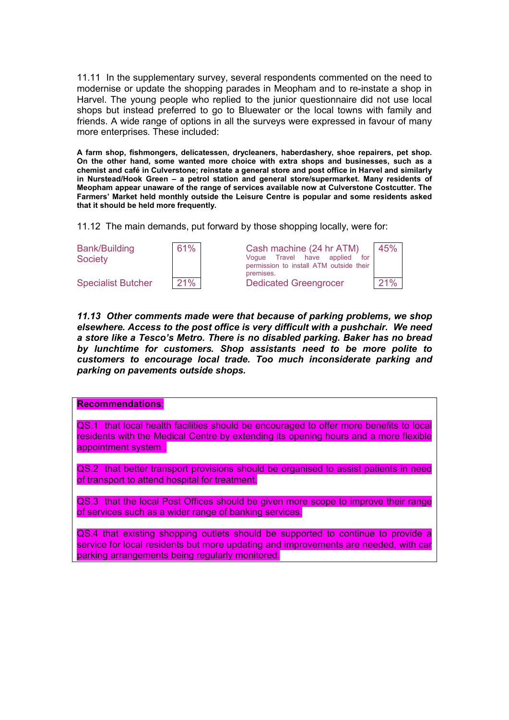11.11 In the supplementary survey, several respondents commented on the need to modernise or update the shopping parades in Meopham and to re-instate a shop in Harvel. The young people who replied to the junior questionnaire did not use local shops but instead preferred to go to Bluewater or the local towns with family and friends. A wide range of options in all the surveys were expressed in favour of many more enterprises. These included:

**A farm shop, fishmongers, delicatessen, drycleaners, haberdashery, shoe repairers, pet shop. On the other hand, some wanted more choice with extra shops and businesses, such as a chemist and café in Culverstone; reinstate a general store and post office in Harvel and similarly in Nurstead/Hook Green – a petrol station and general store/supermarket. Many residents of Meopham appear unaware of the range of services available now at Culverstone Costcutter. The Farmers' Market held monthly outside the Leisure Centre is popular and some residents asked that it should be held more frequently.**

11.12 The main demands, put forward by those shopping locally, were for:

| Bank/Building<br><b>Society</b> |  |
|---------------------------------|--|
|                                 |  |



| 61% | Cash machine (24 hr ATM)<br>Voque Travel have applied<br>for<br>permission to install ATM outside their<br>premises. | 45% |
|-----|----------------------------------------------------------------------------------------------------------------------|-----|
| 21% | <b>Dedicated Greengrocer</b>                                                                                         | 21% |

*11.13 Other comments made were that because of parking problems, we shop elsewhere. Access to the post office is very difficult with a pushchair. We need a store like a Tesco's Metro. There is no disabled parking. Baker has no bread by lunchtime for customers. Shop assistants need to be more polite to customers to encourage local trade. Too much inconsiderate parking and parking on pavements outside shops.*

#### **Recommendations**:

QS.1 that local health facilities should be encouraged to offer more benefits to local residents with the Medical Centre by extending its opening hours and a more flexible appointment system .

QS.2 that better transport provisions should be organised to assist patients in need of transport to attend hospital for treatment.

QS.3 that the local Post Offices should be given more scope to improve their range of services such as a wider range of banking services.

QS.4 that existing shopping outlets should be supported to continue to provide a service for local residents but more updating and improvements are needed, with car parking arrangements being regularly monitored.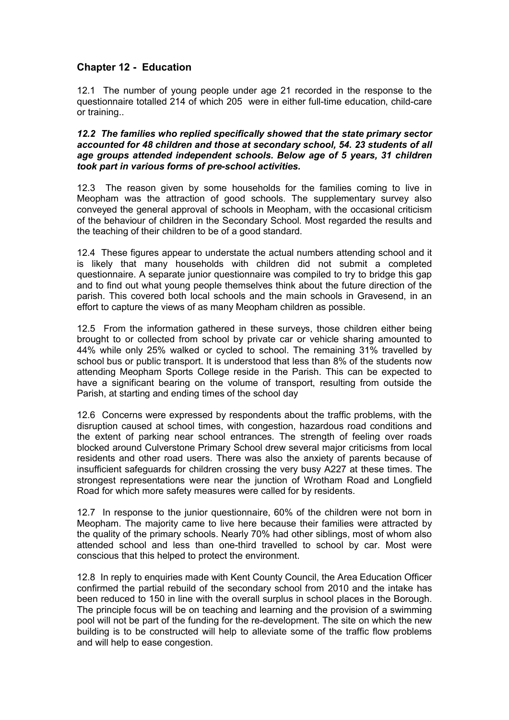# **Chapter 12 - Education**

12.1 The number of young people under age 21 recorded in the response to the questionnaire totalled 214 of which 205 were in either full-time education, child-care or training..

*12.2 The families who replied specifically showed that the state primary sector accounted for 48 children and those at secondary school, 54. 23 students of all age groups attended independent schools. Below age of 5 years, 31 children took part in various forms of pre-school activities.* 

12.3 The reason given by some households for the families coming to live in Meopham was the attraction of good schools. The supplementary survey also conveyed the general approval of schools in Meopham, with the occasional criticism of the behaviour of children in the Secondary School. Most regarded the results and the teaching of their children to be of a good standard.

12.4 These figures appear to understate the actual numbers attending school and it is likely that many households with children did not submit a completed questionnaire. A separate junior questionnaire was compiled to try to bridge this gap and to find out what young people themselves think about the future direction of the parish. This covered both local schools and the main schools in Gravesend, in an effort to capture the views of as many Meopham children as possible.

12.5 From the information gathered in these surveys, those children either being brought to or collected from school by private car or vehicle sharing amounted to 44% while only 25% walked or cycled to school. The remaining 31% travelled by school bus or public transport. It is understood that less than 8% of the students now attending Meopham Sports College reside in the Parish. This can be expected to have a significant bearing on the volume of transport, resulting from outside the Parish, at starting and ending times of the school day

12.6 Concerns were expressed by respondents about the traffic problems, with the disruption caused at school times, with congestion, hazardous road conditions and the extent of parking near school entrances. The strength of feeling over roads blocked around Culverstone Primary School drew several major criticisms from local residents and other road users. There was also the anxiety of parents because of insufficient safeguards for children crossing the very busy A227 at these times. The strongest representations were near the junction of Wrotham Road and Longfield Road for which more safety measures were called for by residents.

12.7 In response to the junior questionnaire, 60% of the children were not born in Meopham. The majority came to live here because their families were attracted by the quality of the primary schools. Nearly 70% had other siblings, most of whom also attended school and less than one-third travelled to school by car. Most were conscious that this helped to protect the environment.

12.8 In reply to enquiries made with Kent County Council, the Area Education Officer confirmed the partial rebuild of the secondary school from 2010 and the intake has been reduced to 150 in line with the overall surplus in school places in the Borough. The principle focus will be on teaching and learning and the provision of a swimming pool will not be part of the funding for the re-development. The site on which the new building is to be constructed will help to alleviate some of the traffic flow problems and will help to ease congestion.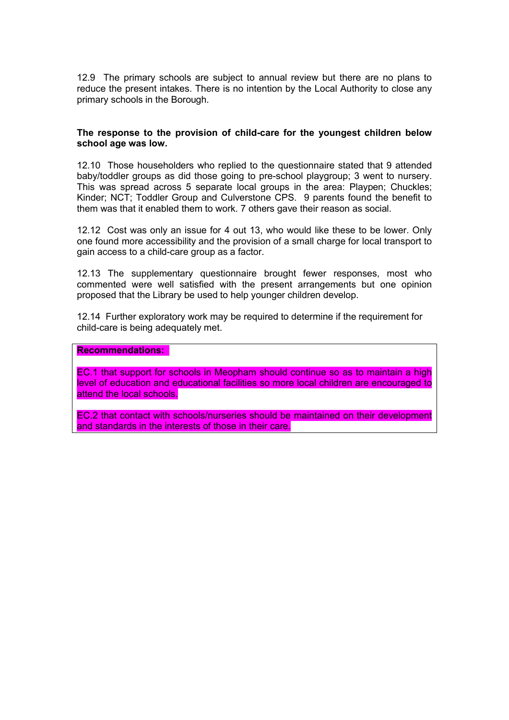12.9 The primary schools are subject to annual review but there are no plans to reduce the present intakes. There is no intention by the Local Authority to close any primary schools in the Borough.

#### **The response to the provision of child-care for the youngest children below school age was low.**

12.10 Those householders who replied to the questionnaire stated that 9 attended baby/toddler groups as did those going to pre-school playgroup; 3 went to nursery. This was spread across 5 separate local groups in the area: Playpen; Chuckles; Kinder; NCT; Toddler Group and Culverstone CPS. 9 parents found the benefit to them was that it enabled them to work. 7 others gave their reason as social.

12.12 Cost was only an issue for 4 out 13, who would like these to be lower. Only one found more accessibility and the provision of a small charge for local transport to gain access to a child-care group as a factor.

12.13 The supplementary questionnaire brought fewer responses, most who commented were well satisfied with the present arrangements but one opinion proposed that the Library be used to help younger children develop.

12.14 Further exploratory work may be required to determine if the requirement for child-care is being adequately met.

#### **Recommendations:**

EC.1 that support for schools in Meopham should continue so as to maintain a high level of education and educational facilities so more local children are encouraged to attend the local schools.

EC.2 that contact with schools/nurseries should be maintained on their development and standards in the interests of those in their care.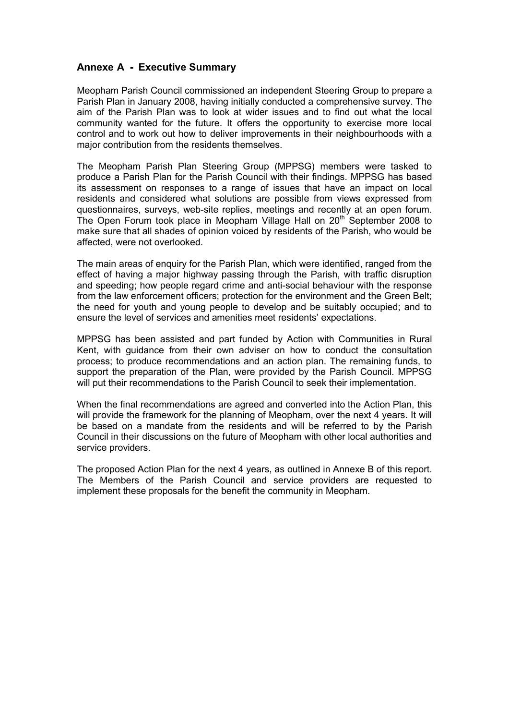# **Annexe A - Executive Summary**

Meopham Parish Council commissioned an independent Steering Group to prepare a Parish Plan in January 2008, having initially conducted a comprehensive survey. The aim of the Parish Plan was to look at wider issues and to find out what the local community wanted for the future. It offers the opportunity to exercise more local control and to work out how to deliver improvements in their neighbourhoods with a major contribution from the residents themselves.

The Meopham Parish Plan Steering Group (MPPSG) members were tasked to produce a Parish Plan for the Parish Council with their findings. MPPSG has based its assessment on responses to a range of issues that have an impact on local residents and considered what solutions are possible from views expressed from questionnaires, surveys, web-site replies, meetings and recently at an open forum. The Open Forum took place in Meopham Village Hall on 20<sup>th</sup> September 2008 to make sure that all shades of opinion voiced by residents of the Parish, who would be affected, were not overlooked.

The main areas of enquiry for the Parish Plan, which were identified, ranged from the effect of having a major highway passing through the Parish, with traffic disruption and speeding; how people regard crime and anti-social behaviour with the response from the law enforcement officers; protection for the environment and the Green Belt; the need for youth and young people to develop and be suitably occupied; and to ensure the level of services and amenities meet residents' expectations.

MPPSG has been assisted and part funded by Action with Communities in Rural Kent, with guidance from their own adviser on how to conduct the consultation process; to produce recommendations and an action plan. The remaining funds, to support the preparation of the Plan, were provided by the Parish Council. MPPSG will put their recommendations to the Parish Council to seek their implementation.

When the final recommendations are agreed and converted into the Action Plan, this will provide the framework for the planning of Meopham, over the next 4 years. It will be based on a mandate from the residents and will be referred to by the Parish Council in their discussions on the future of Meopham with other local authorities and service providers.

The proposed Action Plan for the next 4 years, as outlined in Annexe B of this report. The Members of the Parish Council and service providers are requested to implement these proposals for the benefit the community in Meopham.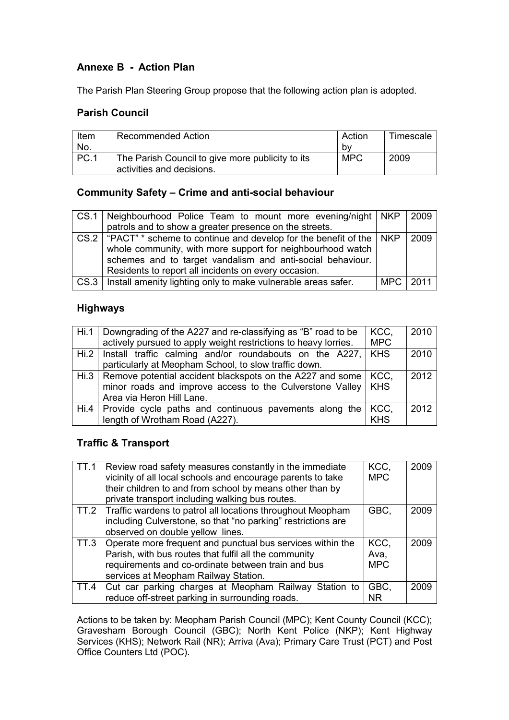# **Annexe B - Action Plan**

The Parish Plan Steering Group propose that the following action plan is adopted.

# **Parish Council**

| Item        | <b>Recommended Action</b>                        | Action     | Timescale |
|-------------|--------------------------------------------------|------------|-----------|
| No.         |                                                  | b٧         |           |
| <b>PC.1</b> | The Parish Council to give more publicity to its | <b>MPC</b> | 2009      |
|             | activities and decisions.                        |            |           |

# **Community Safety – Crime and anti-social behaviour**

| CS.1   Neighbourhood Police Team to mount more evening/night   NKP   2009                                                                                                                                                                                               |          |
|-------------------------------------------------------------------------------------------------------------------------------------------------------------------------------------------------------------------------------------------------------------------------|----------|
| patrols and to show a greater presence on the streets.                                                                                                                                                                                                                  |          |
| CS.2   "PACT" $*$ scheme to continue and develop for the benefit of the $\vert$ NKP<br>whole community, with more support for neighbourhood watch<br>schemes and to target vandalism and anti-social behaviour.<br>Residents to report all incidents on every occasion. | 2009     |
| CS.3   Install amenity lighting only to make vulnerable areas safer.                                                                                                                                                                                                    | MPC 2011 |

# **Highways**

| Hi.1   Downgrading of the A227 and re-classifying as "B" road to be<br>actively pursued to apply weight restrictions to heavy lorries.                                 | KCC,<br><b>MPC</b>  | 2010 |
|------------------------------------------------------------------------------------------------------------------------------------------------------------------------|---------------------|------|
| Hi.2   Install traffic calming and/or roundabouts on the A227,   KHS<br>particularly at Meopham School, to slow traffic down.                                          |                     | 2010 |
| Hi.3   Remove potential accident blackspots on the A227 and some   KCC,<br>minor roads and improve access to the Culverstone Valley   KHS<br>Area via Heron Hill Lane. |                     | 2012 |
| Hi.4   Provide cycle paths and continuous pavements along the<br>length of Wrotham Road (A227).                                                                        | ∣KCC.<br><b>KHS</b> | 2012 |

# **Traffic & Transport**

| <b>TT.1</b> | Review road safety measures constantly in the immediate           | KCC,       | 2009 |
|-------------|-------------------------------------------------------------------|------------|------|
|             | vicinity of all local schools and encourage parents to take       | <b>MPC</b> |      |
|             | their children to and from school by means other than by          |            |      |
|             | private transport including walking bus routes.                   |            |      |
|             | TT.2   Traffic wardens to patrol all locations throughout Meopham | GBC.       | 2009 |
|             | including Culverstone, so that "no parking" restrictions are      |            |      |
|             | observed on double yellow lines.                                  |            |      |
| TT.3        | Operate more frequent and punctual bus services within the        | KCC,       | 2009 |
|             | Parish, with bus routes that fulfil all the community             | Ava,       |      |
|             | requirements and co-ordinate between train and bus                | <b>MPC</b> |      |
|             | services at Meopham Railway Station.                              |            |      |
| TT.4        | Cut car parking charges at Meopham Railway Station to             | GBC,       | 2009 |
|             | reduce off-street parking in surrounding roads.                   | ΝR         |      |

Actions to be taken by: Meopham Parish Council (MPC); Kent County Council (KCC); Gravesham Borough Council (GBC); North Kent Police (NKP); Kent Highway Services (KHS); Network Rail (NR); Arriva (Ava); Primary Care Trust (PCT) and Post Office Counters Ltd (POC).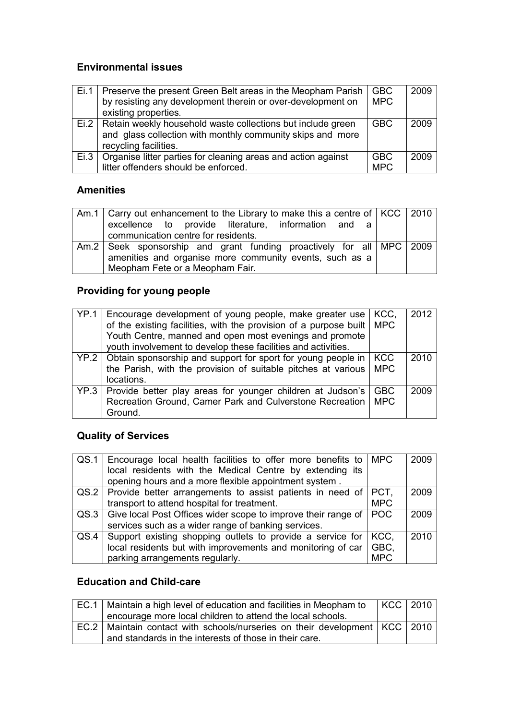# **Environmental issues**

| Ei.1 | Preserve the present Green Belt areas in the Meopham Parish<br>by resisting any development therein or over-development on<br>existing properties.        | <b>GBC</b><br><b>MPC</b> | 2009 |
|------|-----------------------------------------------------------------------------------------------------------------------------------------------------------|--------------------------|------|
|      | Ei.2   Retain weekly household waste collections but include green<br>and glass collection with monthly community skips and more<br>recycling facilities. | <b>GBC</b>               | 2009 |
| Ei.3 | Organise litter parties for cleaning areas and action against<br>litter offenders should be enforced.                                                     | <b>GBC</b><br><b>MPC</b> | 2009 |

# **Amenities**

| Am.1   Carry out enhancement to the Library to make this a centre of   KCC   2010 |  |
|-----------------------------------------------------------------------------------|--|
| excellence to provide literature, information and a                               |  |
| communication centre for residents.                                               |  |
| Am.2   Seek sponsorship and grant funding proactively for all   MPC   2009        |  |
| amenities and organise more community events, such as a                           |  |
| Meopham Fete or a Meopham Fair.                                                   |  |

# **Providing for young people**

| YP.1   Encourage development of young people, make greater use<br>of the existing facilities, with the provision of a purpose built                      | KCC,<br><b>MPC</b>       | 2012 |
|----------------------------------------------------------------------------------------------------------------------------------------------------------|--------------------------|------|
| Youth Centre, manned and open most evenings and promote<br>youth involvement to develop these facilities and activities.                                 |                          |      |
| $YP.2$ Obtain sponsorship and support for sport for young people in   KCC<br>the Parish, with the provision of suitable pitches at various<br>locations. | <b>MPC</b>               | 2010 |
| YP.3   Provide better play areas for younger children at Judson's<br>Recreation Ground, Camer Park and Culverstone Recreation<br>Ground.                 | <b>GBC</b><br><b>MPC</b> | 2009 |

# **Quality of Services**

|      | QS.1   Encourage local health facilities to offer more benefits to   MPC   |            | 2009 |
|------|----------------------------------------------------------------------------|------------|------|
|      | local residents with the Medical Centre by extending its                   |            |      |
|      | opening hours and a more flexible appointment system.                      |            |      |
|      | QS.2   Provide better arrangements to assist patients in need of   PCT,    |            | 2009 |
|      | transport to attend hospital for treatment.                                | <b>MPC</b> |      |
|      | QS.3   Give local Post Offices wider scope to improve their range of   POC |            | 2009 |
|      | services such as a wider range of banking services.                        |            |      |
| QS.4 | Support existing shopping outlets to provide a service for                 | KCC.       | 2010 |
|      | local residents but with improvements and monitoring of car                | GBC,       |      |
|      | parking arrangements regularly.                                            | <b>MPC</b> |      |

# **Education and Child-care**

| EC.1   Maintain a high level of education and facilities in Meopham to           |  | KCC   2010 |
|----------------------------------------------------------------------------------|--|------------|
| encourage more local children to attend the local schools.                       |  |            |
| EC.2   Maintain contact with schools/nurseries on their development   KCC   2010 |  |            |
| and standards in the interests of those in their care.                           |  |            |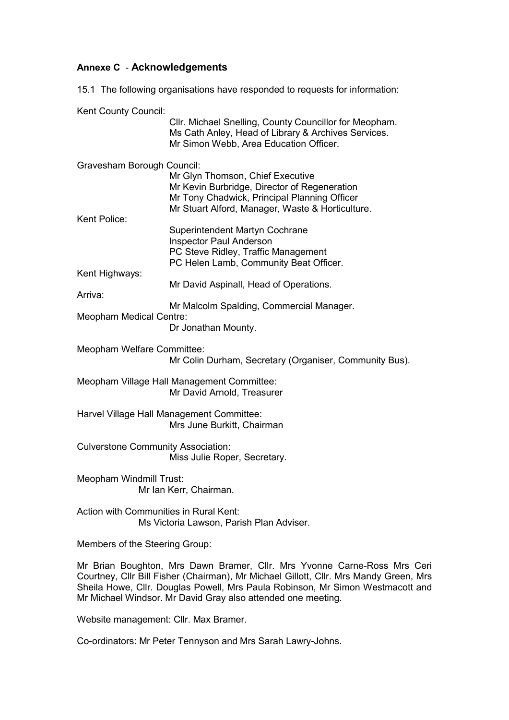# **Annexe C** - **Acknowledgements**

15.1 The following organisations have responded to requests for information:

Kent County Council:

|                                           | Cllr. Michael Snelling, County Councillor for Meopham.<br>Ms Cath Anley, Head of Library & Archives Services.<br>Mr Simon Webb, Area Education Officer.                                                                                                                                                             |
|-------------------------------------------|---------------------------------------------------------------------------------------------------------------------------------------------------------------------------------------------------------------------------------------------------------------------------------------------------------------------|
| Gravesham Borough Council:                | Mr Glyn Thomson, Chief Executive<br>Mr Kevin Burbridge, Director of Regeneration<br>Mr Tony Chadwick, Principal Planning Officer<br>Mr Stuart Alford, Manager, Waste & Horticulture.                                                                                                                                |
| Kent Police:                              | Superintendent Martyn Cochrane<br><b>Inspector Paul Anderson</b>                                                                                                                                                                                                                                                    |
| Kent Highways:                            | PC Steve Ridley, Traffic Management<br>PC Helen Lamb, Community Beat Officer.                                                                                                                                                                                                                                       |
| Arriva:                                   | Mr David Aspinall, Head of Operations.                                                                                                                                                                                                                                                                              |
| <b>Meopham Medical Centre:</b>            | Mr Malcolm Spalding, Commercial Manager.<br>Dr Jonathan Mounty.                                                                                                                                                                                                                                                     |
| Meopham Welfare Committee:                | Mr Colin Durham, Secretary (Organiser, Community Bus).                                                                                                                                                                                                                                                              |
|                                           | Meopham Village Hall Management Committee:<br>Mr David Arnold, Treasurer                                                                                                                                                                                                                                            |
|                                           | Harvel Village Hall Management Committee:<br>Mrs June Burkitt, Chairman                                                                                                                                                                                                                                             |
| <b>Culverstone Community Association:</b> | Miss Julie Roper, Secretary.                                                                                                                                                                                                                                                                                        |
| <b>Meopham Windmill Trust:</b>            | Mr Ian Kerr, Chairman.                                                                                                                                                                                                                                                                                              |
| Action with Communities in Rural Kent:    | Ms Victoria Lawson, Parish Plan Adviser.                                                                                                                                                                                                                                                                            |
| Members of the Steering Group:            |                                                                                                                                                                                                                                                                                                                     |
|                                           | Mr Brian Boughton, Mrs Dawn Bramer, Cllr. Mrs Yvonne Carne-Ross Mrs Ceri<br>Courtney, Cllr Bill Fisher (Chairman), Mr Michael Gillott, Cllr. Mrs Mandy Green, Mrs<br>Sheila Howe, Cllr. Douglas Powell, Mrs Paula Robinson, Mr Simon Westmacott and<br>Mr Michael Windsor. Mr David Gray also attended one meeting. |
| Website management: Cllr. Max Bramer.     |                                                                                                                                                                                                                                                                                                                     |
|                                           | Co-ordinators: Mr Peter Tennyson and Mrs Sarah Lawry-Johns.                                                                                                                                                                                                                                                         |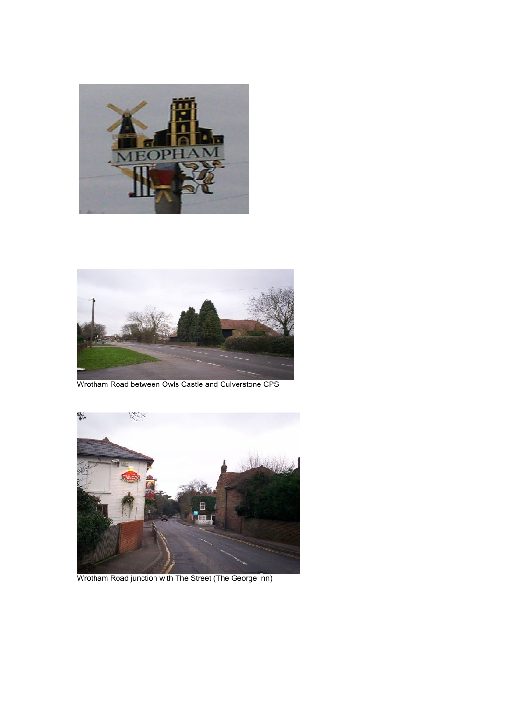



Wrotham Road between Owls Castle and Culverstone CPS



Wrotham Road junction with The Street (The George Inn)